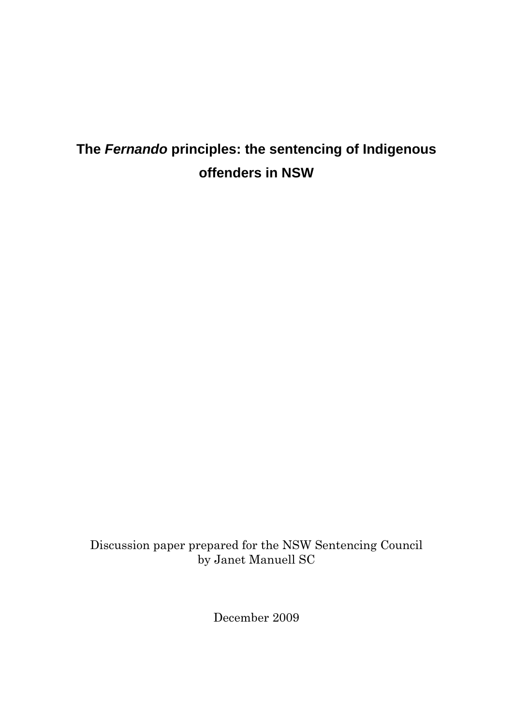# **The** *Fernando* **principles: the sentencing of Indigenous offenders in NSW**

Discussion paper prepared for the NSW Sentencing Council by Janet Manuell SC

December 2009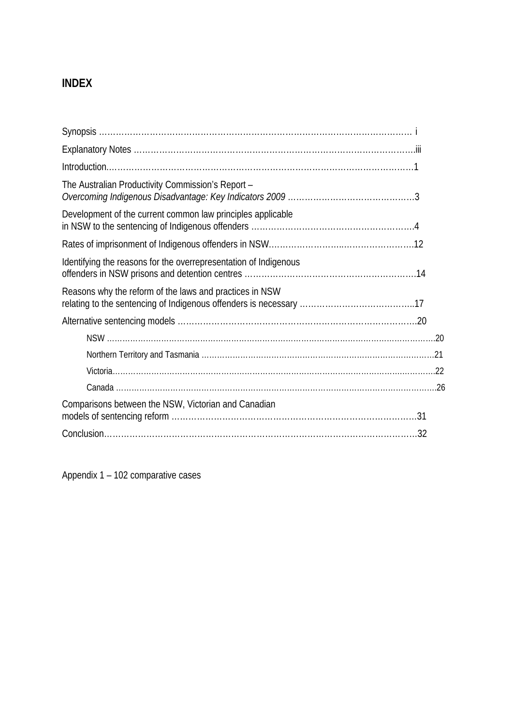## **INDEX**

| The Australian Productivity Commission's Report -                |  |
|------------------------------------------------------------------|--|
| Development of the current common law principles applicable      |  |
|                                                                  |  |
| Identifying the reasons for the overrepresentation of Indigenous |  |
| Reasons why the reform of the laws and practices in NSW          |  |
|                                                                  |  |
|                                                                  |  |
|                                                                  |  |
|                                                                  |  |
|                                                                  |  |
| Comparisons between the NSW, Victorian and Canadian              |  |
|                                                                  |  |

Appendix 1 – 102 comparative cases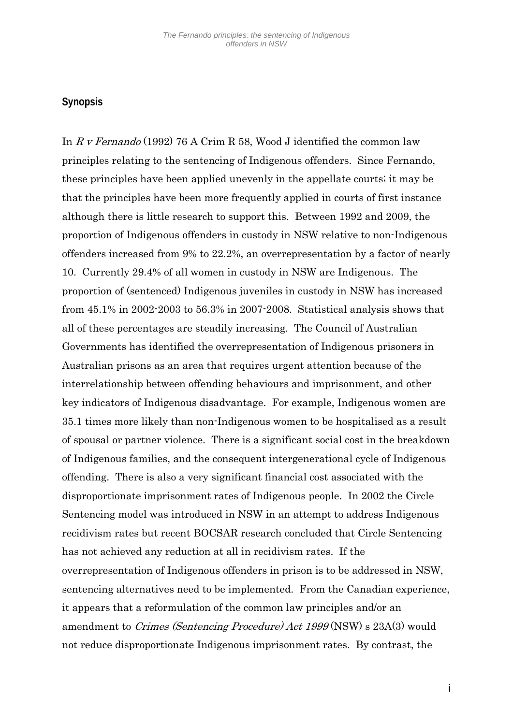### **Synopsis**

In R v Fernando (1992) 76 A Crim R 58, Wood J identified the common law principles relating to the sentencing of Indigenous offenders. Since Fernando, these principles have been applied unevenly in the appellate courts; it may be that the principles have been more frequently applied in courts of first instance although there is little research to support this. Between 1992 and 2009, the proportion of Indigenous offenders in custody in NSW relative to non-Indigenous offenders increased from 9% to 22.2%, an overrepresentation by a factor of nearly 10. Currently 29.4% of all women in custody in NSW are Indigenous. The proportion of (sentenced) Indigenous juveniles in custody in NSW has increased from 45.1% in 2002-2003 to 56.3% in 2007-2008. Statistical analysis shows that all of these percentages are steadily increasing. The Council of Australian Governments has identified the overrepresentation of Indigenous prisoners in Australian prisons as an area that requires urgent attention because of the interrelationship between offending behaviours and imprisonment, and other key indicators of Indigenous disadvantage. For example, Indigenous women are 35.1 times more likely than non-Indigenous women to be hospitalised as a result of spousal or partner violence. There is a significant social cost in the breakdown of Indigenous families, and the consequent intergenerational cycle of Indigenous offending. There is also a very significant financial cost associated with the disproportionate imprisonment rates of Indigenous people. In 2002 the Circle Sentencing model was introduced in NSW in an attempt to address Indigenous recidivism rates but recent BOCSAR research concluded that Circle Sentencing has not achieved any reduction at all in recidivism rates. If the overrepresentation of Indigenous offenders in prison is to be addressed in NSW, sentencing alternatives need to be implemented. From the Canadian experience, it appears that a reformulation of the common law principles and/or an amendment to Crimes (Sentencing Procedure) Act 1999 (NSW) s 23A(3) would not reduce disproportionate Indigenous imprisonment rates. By contrast, the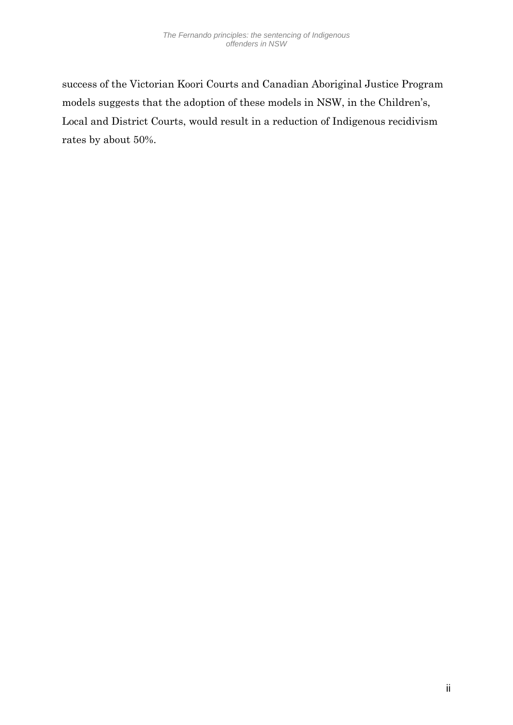success of the Victorian Koori Courts and Canadian Aboriginal Justice Program models suggests that the adoption of these models in NSW, in the Children's, Local and District Courts, would result in a reduction of Indigenous recidivism rates by about 50%.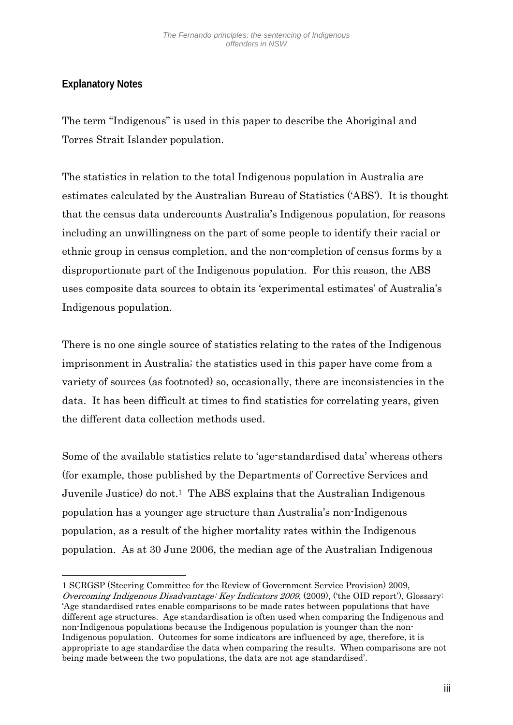## **Explanatory Notes**

<u>.</u>

The term "Indigenous" is used in this paper to describe the Aboriginal and Torres Strait Islander population.

The statistics in relation to the total Indigenous population in Australia are estimates calculated by the Australian Bureau of Statistics ('ABS'). It is thought that the census data undercounts Australia's Indigenous population, for reasons including an unwillingness on the part of some people to identify their racial or ethnic group in census completion, and the non-completion of census forms by a disproportionate part of the Indigenous population. For this reason, the ABS uses composite data sources to obtain its 'experimental estimates' of Australia's Indigenous population.

There is no one single source of statistics relating to the rates of the Indigenous imprisonment in Australia; the statistics used in this paper have come from a variety of sources (as footnoted) so, occasionally, there are inconsistencies in the data. It has been difficult at times to find statistics for correlating years, given the different data collection methods used.

Some of the available statistics relate to 'age-standardised data' whereas others (for example, those published by the Departments of Corrective Services and Juvenile Justice) do not.1 The ABS explains that the Australian Indigenous population has a younger age structure than Australia's non-Indigenous population, as a result of the higher mortality rates within the Indigenous population. As at 30 June 2006, the median age of the Australian Indigenous

<sup>1</sup> SCRGSP (Steering Committee for the Review of Government Service Provision) 2009, Overcoming Indigenous Disadvantage: Key Indicators 2009, (2009), ('the OID report'), Glossary: 'Age standardised rates enable comparisons to be made rates between populations that have different age structures. Age standardisation is often used when comparing the Indigenous and non-Indigenous populations because the Indigenous population is younger than the non-Indigenous population. Outcomes for some indicators are influenced by age, therefore, it is appropriate to age standardise the data when comparing the results. When comparisons are not being made between the two populations, the data are not age standardised'.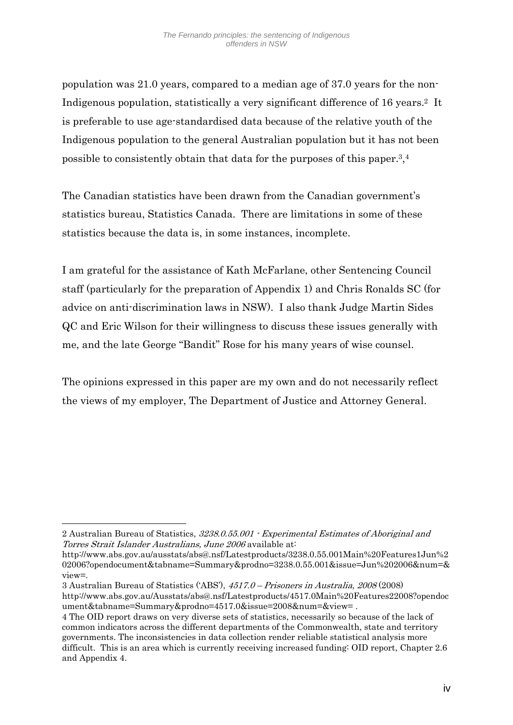population was 21.0 years, compared to a median age of 37.0 years for the non-Indigenous population, statistically a very significant difference of 16 years.2 It is preferable to use age-standardised data because of the relative youth of the Indigenous population to the general Australian population but it has not been possible to consistently obtain that data for the purposes of this paper.3,4

The Canadian statistics have been drawn from the Canadian government's statistics bureau, Statistics Canada. There are limitations in some of these statistics because the data is, in some instances, incomplete.

I am grateful for the assistance of Kath McFarlane, other Sentencing Council staff (particularly for the preparation of Appendix 1) and Chris Ronalds SC (for advice on anti-discrimination laws in NSW). I also thank Judge Martin Sides QC and Eric Wilson for their willingness to discuss these issues generally with me, and the late George "Bandit" Rose for his many years of wise counsel.

The opinions expressed in this paper are my own and do not necessarily reflect the views of my employer, The Department of Justice and Attorney General.

<sup>2</sup> Australian Bureau of Statistics, 3238.0.55.001 - Experimental Estimates of Aboriginal and Torres Strait Islander Australians, June 2006 available at:

http://www.abs.gov.au/ausstats/abs@.nsf/Latestproducts/3238.0.55.001Main%20Features1Jun%2 02006?opendocument&tabname=Summary&prodno=3238.0.55.001&issue=Jun%202006&num=& view=.

<sup>3</sup> Australian Bureau of Statistics ('ABS'), 4517.0 – Prisoners in Australia, 2008 (2008) http://www.abs.gov.au/Ausstats/abs@.nsf/Latestproducts/4517.0Main%20Features22008?opendoc ument&tabname=Summary&prodno=4517.0&issue=2008&num=&view= .

<sup>4</sup> The OID report draws on very diverse sets of statistics, necessarily so because of the lack of common indicators across the different departments of the Commonwealth, state and territory governments. The inconsistencies in data collection render reliable statistical analysis more difficult. This is an area which is currently receiving increased funding: OID report, Chapter 2.6 and Appendix 4.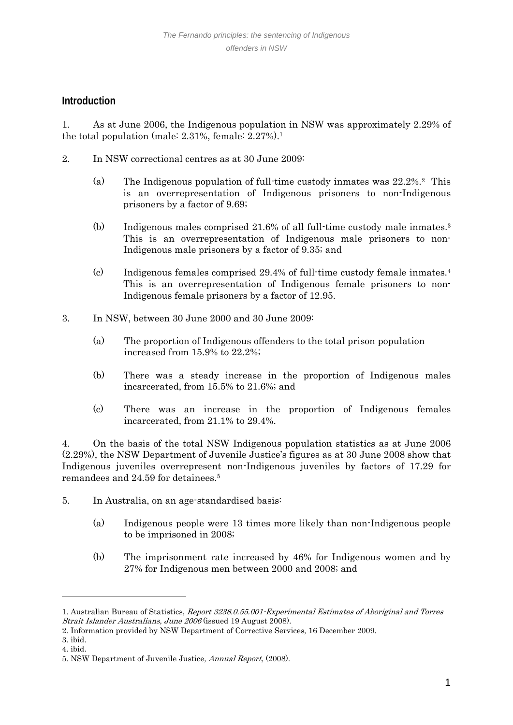## **Introduction**

1. As at June 2006, the Indigenous population in NSW was approximately 2.29% of the total population (male: 2.31%, female: 2.27%).1

- 2. In NSW correctional centres as at 30 June 2009:
	- (a) The Indigenous population of full-time custody inmates was 22.2%.2 This is an overrepresentation of Indigenous prisoners to non-Indigenous prisoners by a factor of 9.69;
	- (b) Indigenous males comprised 21.6% of all full-time custody male inmates.3 This is an overrepresentation of Indigenous male prisoners to non-Indigenous male prisoners by a factor of 9.35; and
	- (c) Indigenous females comprised 29.4% of full-time custody female inmates.4 This is an overrepresentation of Indigenous female prisoners to non-Indigenous female prisoners by a factor of 12.95.
- 3. In NSW, between 30 June 2000 and 30 June 2009:
	- (a) The proportion of Indigenous offenders to the total prison population increased from 15.9% to 22.2%;
	- (b) There was a steady increase in the proportion of Indigenous males incarcerated, from 15.5% to 21.6%; and
	- (c) There was an increase in the proportion of Indigenous females incarcerated, from 21.1% to 29.4%.

4. On the basis of the total NSW Indigenous population statistics as at June 2006 (2.29%), the NSW Department of Juvenile Justice's figures as at 30 June 2008 show that Indigenous juveniles overrepresent non-Indigenous juveniles by factors of 17.29 for remandees and 24.59 for detainees.5

- 5. In Australia, on an age-standardised basis:
	- (a) Indigenous people were 13 times more likely than non-Indigenous people to be imprisoned in 2008;
	- (b) The imprisonment rate increased by 46% for Indigenous women and by 27% for Indigenous men between 2000 and 2008; and

 $\overline{a}$ 

<sup>1.</sup> Australian Bureau of Statistics, Report 3238.0.55.001-Experimental Estimates of Aboriginal and Torres Strait Islander Australians, June 2006 (issued 19 August 2008).

<sup>2.</sup> Information provided by NSW Department of Corrective Services, 16 December 2009.

<sup>3.</sup> ibid.

<sup>4.</sup> ibid.

<sup>5.</sup> NSW Department of Juvenile Justice, Annual Report, (2008).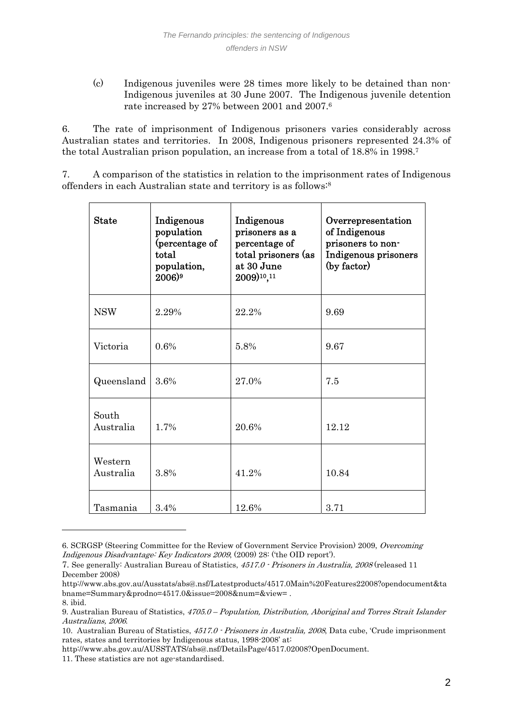(c) Indigenous juveniles were 28 times more likely to be detained than non- Indigenous juveniles at 30 June 2007. The Indigenous juvenile detention rate increased by 27% between 2001 and 2007.6

6. The rate of imprisonment of Indigenous prisoners varies considerably across Australian states and territories. In 2008, Indigenous prisoners represented 24.3% of the total Australian prison population, an increase from a total of 18.8% in 1998.7

7. A comparison of the statistics in relation to the imprisonment rates of Indigenous offenders in each Australian state and territory is as follows:8

| <b>State</b>         | Indigenous<br>population<br>(percentage of<br>total<br>population,<br>$2006)^9$ | Indigenous<br>prisoners as a<br>percentage of<br>total prisoners (as<br>at 30 June<br>2009)10,11 | Overrepresentation<br>of Indigenous<br>prisoners to non-<br>Indigenous prisoners<br>(by factor) |
|----------------------|---------------------------------------------------------------------------------|--------------------------------------------------------------------------------------------------|-------------------------------------------------------------------------------------------------|
| <b>NSW</b>           | 2.29%                                                                           | 22.2%                                                                                            | 9.69                                                                                            |
| Victoria             | 0.6%                                                                            | 5.8%                                                                                             | 9.67                                                                                            |
| Queensland           | 3.6%                                                                            | 27.0%                                                                                            | 7.5                                                                                             |
| South<br>Australia   | 1.7%                                                                            | 20.6%                                                                                            | 12.12                                                                                           |
| Western<br>Australia | 3.8%                                                                            | 41.2%                                                                                            | 10.84                                                                                           |
| Tasmania             | 3.4%                                                                            | 12.6%                                                                                            | 3.71                                                                                            |

<sup>6.</sup> SCRGSP (Steering Committee for the Review of Government Service Provision) 2009, Overcoming Indigenous Disadvantage: Key Indicators 2009, (2009) 28: ('the OID report').

<sup>7.</sup> See generally: Australian Bureau of Statistics, 4517.0 - Prisoners in Australia, 2008 (released 11 December 2008)

http://www.abs.gov.au/Ausstats/abs@.nsf/Latestproducts/4517.0Main%20Features22008?opendocument&ta bname=Summary&prodno=4517.0&issue=2008&num=&view= .

<sup>8.</sup> ibid.

<sup>9.</sup> Australian Bureau of Statistics, 4705.0 – Population, Distribution, Aboriginal and Torres Strait Islander Australians, 2006.

<sup>10.</sup> Australian Bureau of Statistics, 4517.0 - Prisoners in Australia, 2008, Data cube, 'Crude imprisonment rates, states and territories by Indigenous status, 1998-2008' at:

http://www.abs.gov.au/AUSSTATS/abs@.nsf/DetailsPage/4517.02008?OpenDocument.

<sup>11.</sup> These statistics are not age-standardised.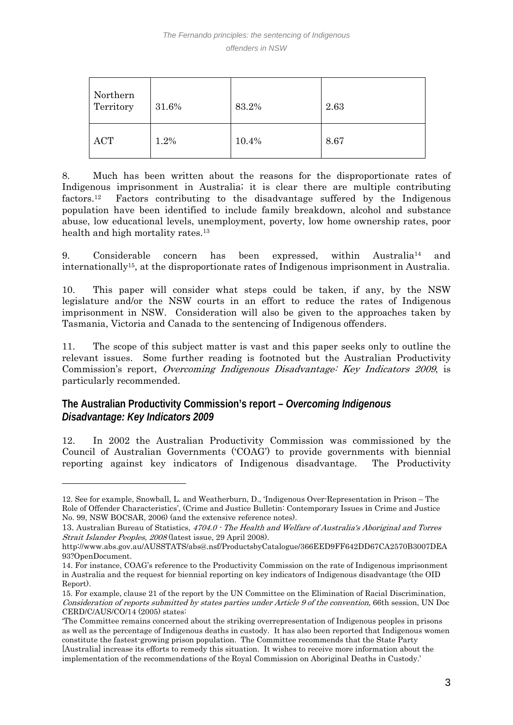| Northern<br>Territory | 31.6% | 83.2% | 2.63 |
|-----------------------|-------|-------|------|
| <b>ACT</b>            | 1.2%  | 10.4% | 8.67 |

8. Much has been written about the reasons for the disproportionate rates of Indigenous imprisonment in Australia; it is clear there are multiple contributing factors.12 Factors contributing to the disadvantage suffered by the Indigenous population have been identified to include family breakdown, alcohol and substance abuse, low educational levels, unemployment, poverty, low home ownership rates, poor health and high mortality rates.<sup>13</sup>

9. Considerable concern has been expressed, within Australia14 and  $intermationally<sup>15</sup>$ , at the disproportionate rates of Indigenous imprisonment in Australia.

10. This paper will consider what steps could be taken, if any, by the NSW legislature and/or the NSW courts in an effort to reduce the rates of Indigenous imprisonment in NSW. Consideration will also be given to the approaches taken by Tasmania, Victoria and Canada to the sentencing of Indigenous offenders.

11. The scope of this subject matter is vast and this paper seeks only to outline the relevant issues. Some further reading is footnoted but the Australian Productivity Commission's report, Overcoming Indigenous Disadvantage: Key Indicators 2009, is particularly recommended.

## **The Australian Productivity Commission's report –** *Overcoming Indigenous Disadvantage: Key Indicators 2009*

1

12. In 2002 the Australian Productivity Commission was commissioned by the Council of Australian Governments ('COAG') to provide governments with biennial reporting against key indicators of Indigenous disadvantage. The Productivity

<sup>12.</sup> See for example, Snowball, L. and Weatherburn, D., 'Indigenous Over-Representation in Prison – The Role of Offender Characteristics', (Crime and Justice Bulletin: Contemporary Issues in Crime and Justice No. 99, NSW BOCSAR, 2006) (and the extensive reference notes).

<sup>13.</sup> Australian Bureau of Statistics, 4704.0  $\cdot$  The Health and Welfare of Australia's Aboriginal and Torres Strait Islander Peoples, 2008 (latest issue, 29 April 2008).

http://www.abs.gov.au/AUSSTATS/abs@.nsf/ProductsbyCatalogue/366EED9FF642DD67CA2570B3007DEA 93?OpenDocument.

<sup>14.</sup> For instance, COAG's reference to the Productivity Commission on the rate of Indigenous imprisonment in Australia and the request for biennial reporting on key indicators of Indigenous disadvantage (the OID Report).

<sup>15.</sup> For example, clause 21 of the report by the UN Committee on the Elimination of Racial Discrimination, Consideration of reports submitted by states parties under Article 9 of the convention, 66th session, UN Doc CERD/C/AUS/CO/14 (2005) states:

<sup>&#</sup>x27;The Committee remains concerned about the striking overrepresentation of Indigenous peoples in prisons as well as the percentage of Indigenous deaths in custody. It has also been reported that Indigenous women constitute the fastest-growing prison population. The Committee recommends that the State Party [Australia] increase its efforts to remedy this situation. It wishes to receive more information about the implementation of the recommendations of the Royal Commission on Aboriginal Deaths in Custody.'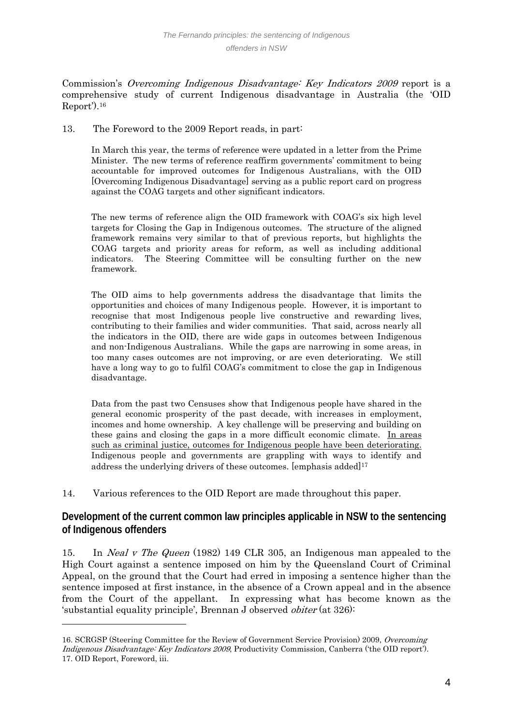Commission's Overcoming Indigenous Disadvantage: Key Indicators 2009 report is a comprehensive study of current Indigenous disadvantage in Australia (the 'OID Report').16

13. The Foreword to the 2009 Report reads, in part:

In March this year, the terms of reference were updated in a letter from the Prime Minister. The new terms of reference reaffirm governments' commitment to being accountable for improved outcomes for Indigenous Australians, with the OID [Overcoming Indigenous Disadvantage] serving as a public report card on progress against the COAG targets and other significant indicators.

The new terms of reference align the OID framework with COAG's six high level targets for Closing the Gap in Indigenous outcomes. The structure of the aligned framework remains very similar to that of previous reports, but highlights the COAG targets and priority areas for reform, as well as including additional indicators. The Steering Committee will be consulting further on the new framework.

The OID aims to help governments address the disadvantage that limits the opportunities and choices of many Indigenous people. However, it is important to recognise that most Indigenous people live constructive and rewarding lives, contributing to their families and wider communities. That said, across nearly all the indicators in the OID, there are wide gaps in outcomes between Indigenous and non-Indigenous Australians. While the gaps are narrowing in some areas, in too many cases outcomes are not improving, or are even deteriorating. We still have a long way to go to fulfil COAG's commitment to close the gap in Indigenous disadvantage.

Data from the past two Censuses show that Indigenous people have shared in the general economic prosperity of the past decade, with increases in employment, incomes and home ownership. A key challenge will be preserving and building on these gains and closing the gaps in a more difficult economic climate. In areas such as criminal justice, outcomes for Indigenous people have been deteriorating. Indigenous people and governments are grappling with ways to identify and address the underlying drivers of these outcomes. [emphasis added]<sup>17</sup>

14. Various references to the OID Report are made throughout this paper.

## **Development of the current common law principles applicable in NSW to the sentencing of Indigenous offenders**

15. In Neal v The Queen (1982) 149 CLR 305, an Indigenous man appealed to the High Court against a sentence imposed on him by the Queensland Court of Criminal Appeal, on the ground that the Court had erred in imposing a sentence higher than the sentence imposed at first instance, in the absence of a Crown appeal and in the absence from the Court of the appellant. In expressing what has become known as the 'substantial equality principle', Brennan J observed obiter (at 326):

<sup>16.</sup> SCRGSP (Steering Committee for the Review of Government Service Provision) 2009, Overcoming Indigenous Disadvantage: Key Indicators 2009, Productivity Commission, Canberra ('the OID report'). 17. OID Report, Foreword, iii.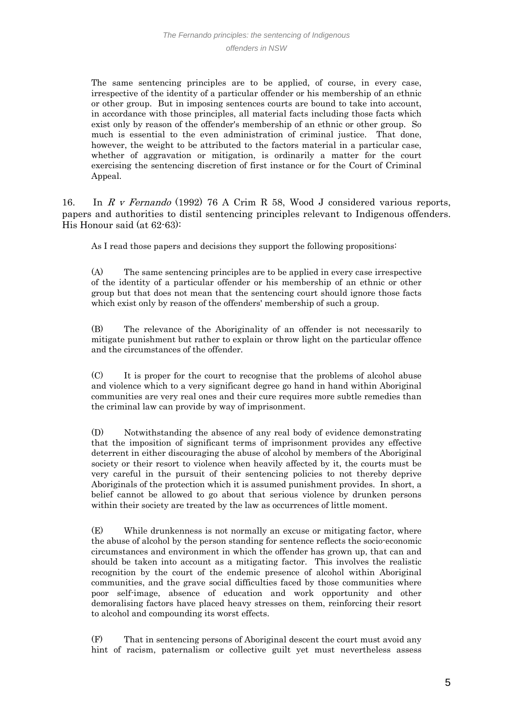The same sentencing principles are to be applied, of course, in every case, irrespective of the identity of a particular offender or his membership of an ethnic or other group. But in imposing sentences courts are bound to take into account, in accordance with those principles, all material facts including those facts which exist only by reason of the offender's membership of an ethnic or other group. So much is essential to the even administration of criminal justice. That done, however, the weight to be attributed to the factors material in a particular case, whether of aggravation or mitigation, is ordinarily a matter for the court exercising the sentencing discretion of first instance or for the Court of Criminal Appeal.

16. In R v Fernando (1992) 76 A Crim R 58, Wood J considered various reports, papers and authorities to distil sentencing principles relevant to Indigenous offenders. His Honour said (at 62-63):

As I read those papers and decisions they support the following propositions:

(A) The same sentencing principles are to be applied in every case irrespective of the identity of a particular offender or his membership of an ethnic or other group but that does not mean that the sentencing court should ignore those facts which exist only by reason of the offenders' membership of such a group.

(B) The relevance of the Aboriginality of an offender is not necessarily to mitigate punishment but rather to explain or throw light on the particular offence and the circumstances of the offender.

(C) It is proper for the court to recognise that the problems of alcohol abuse and violence which to a very significant degree go hand in hand within Aboriginal communities are very real ones and their cure requires more subtle remedies than the criminal law can provide by way of imprisonment.

(D) Notwithstanding the absence of any real body of evidence demonstrating that the imposition of significant terms of imprisonment provides any effective deterrent in either discouraging the abuse of alcohol by members of the Aboriginal society or their resort to violence when heavily affected by it, the courts must be very careful in the pursuit of their sentencing policies to not thereby deprive Aboriginals of the protection which it is assumed punishment provides. In short, a belief cannot be allowed to go about that serious violence by drunken persons within their society are treated by the law as occurrences of little moment.

(E) While drunkenness is not normally an excuse or mitigating factor, where the abuse of alcohol by the person standing for sentence reflects the socio-economic circumstances and environment in which the offender has grown up, that can and should be taken into account as a mitigating factor. This involves the realistic recognition by the court of the endemic presence of alcohol within Aboriginal communities, and the grave social difficulties faced by those communities where poor self-image, absence of education and work opportunity and other demoralising factors have placed heavy stresses on them, reinforcing their resort to alcohol and compounding its worst effects.

(F) That in sentencing persons of Aboriginal descent the court must avoid any hint of racism, paternalism or collective guilt yet must nevertheless assess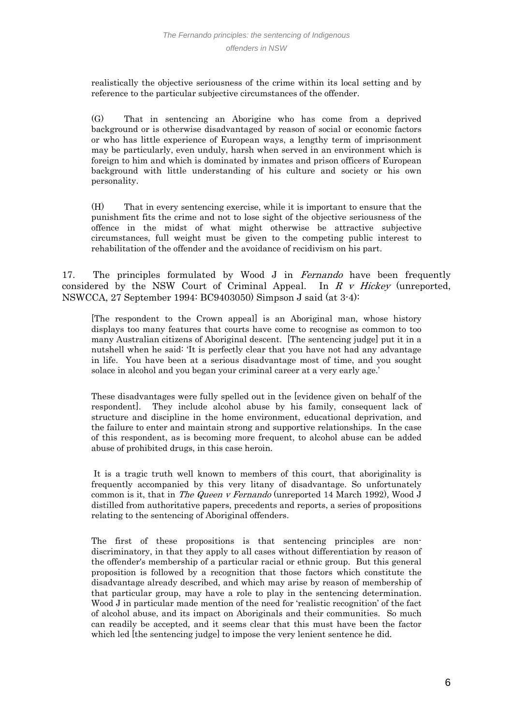realistically the objective seriousness of the crime within its local setting and by reference to the particular subjective circumstances of the offender.

(G) That in sentencing an Aborigine who has come from a deprived background or is otherwise disadvantaged by reason of social or economic factors or who has little experience of European ways, a lengthy term of imprisonment may be particularly, even unduly, harsh when served in an environment which is foreign to him and which is dominated by inmates and prison officers of European background with little understanding of his culture and society or his own personality.

(H) That in every sentencing exercise, while it is important to ensure that the punishment fits the crime and not to lose sight of the objective seriousness of the offence in the midst of what might otherwise be attractive subjective circumstances, full weight must be given to the competing public interest to rehabilitation of the offender and the avoidance of recidivism on his part.

17. The principles formulated by Wood J in Fernando have been frequently considered by the NSW Court of Criminal Appeal. In  $R$  v Hickey (unreported, NSWCCA, 27 September 1994: BC9403050) Simpson J said (at 3-4):

[The respondent to the Crown appeal] is an Aboriginal man, whose history displays too many features that courts have come to recognise as common to too many Australian citizens of Aboriginal descent. [The sentencing judge] put it in a nutshell when he said: 'It is perfectly clear that you have not had any advantage in life. You have been at a serious disadvantage most of time, and you sought solace in alcohol and you began your criminal career at a very early age.'

These disadvantages were fully spelled out in the [evidence given on behalf of the respondent]. They include alcohol abuse by his family, consequent lack of structure and discipline in the home environment, educational deprivation, and the failure to enter and maintain strong and supportive relationships. In the case of this respondent, as is becoming more frequent, to alcohol abuse can be added abuse of prohibited drugs, in this case heroin.

 It is a tragic truth well known to members of this court, that aboriginality is frequently accompanied by this very litany of disadvantage. So unfortunately common is it, that in *The Queen v Fernando* (unreported 14 March 1992), Wood J distilled from authoritative papers, precedents and reports, a series of propositions relating to the sentencing of Aboriginal offenders.

The first of these propositions is that sentencing principles are nondiscriminatory, in that they apply to all cases without differentiation by reason of the offender's membership of a particular racial or ethnic group. But this general proposition is followed by a recognition that those factors which constitute the disadvantage already described, and which may arise by reason of membership of that particular group, may have a role to play in the sentencing determination. Wood J in particular made mention of the need for 'realistic recognition' of the fact of alcohol abuse, and its impact on Aboriginals and their communities. So much can readily be accepted, and it seems clear that this must have been the factor which led [the sentencing judge] to impose the very lenient sentence he did.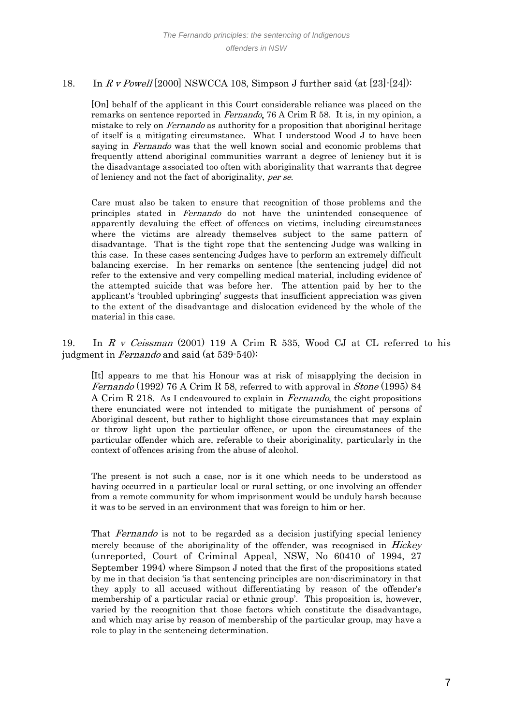### 18. In R v Powell [2000] NSWCCA 108, Simpson J further said (at  $[23]$ - $[24]$ ):

[On] behalf of the applicant in this Court considerable reliance was placed on the remarks on sentence reported in Fernando, 76 A Crim R 58. It is, in my opinion, a mistake to rely on *Fernando* as authority for a proposition that aboriginal heritage of itself is a mitigating circumstance. What I understood Wood J to have been saying in *Fernando* was that the well known social and economic problems that frequently attend aboriginal communities warrant a degree of leniency but it is the disadvantage associated too often with aboriginality that warrants that degree of leniency and not the fact of aboriginality, per se.

Care must also be taken to ensure that recognition of those problems and the principles stated in Fernando do not have the unintended consequence of apparently devaluing the effect of offences on victims, including circumstances where the victims are already themselves subject to the same pattern of disadvantage. That is the tight rope that the sentencing Judge was walking in this case. In these cases sentencing Judges have to perform an extremely difficult balancing exercise. In her remarks on sentence [the sentencing judge] did not refer to the extensive and very compelling medical material, including evidence of the attempted suicide that was before her. The attention paid by her to the applicant's 'troubled upbringing' suggests that insufficient appreciation was given to the extent of the disadvantage and dislocation evidenced by the whole of the material in this case.

19. In R v Ceissman  $(2001)$  119 A Crim R 535, Wood CJ at CL referred to his judgment in Fernando and said (at 539-540):

[It] appears to me that his Honour was at risk of misapplying the decision in *Fernando* (1992) 76 A Crim R 58, referred to with approval in *Stone* (1995) 84 A Crim R 218. As I endeavoured to explain in *Fernando*, the eight propositions there enunciated were not intended to mitigate the punishment of persons of Aboriginal descent, but rather to highlight those circumstances that may explain or throw light upon the particular offence, or upon the circumstances of the particular offender which are, referable to their aboriginality, particularly in the context of offences arising from the abuse of alcohol.

The present is not such a case, nor is it one which needs to be understood as having occurred in a particular local or rural setting, or one involving an offender from a remote community for whom imprisonment would be unduly harsh because it was to be served in an environment that was foreign to him or her.

That Fernando is not to be regarded as a decision justifying special leniency merely because of the aboriginality of the offender, was recognised in Hickey (unreported, Court of Criminal Appeal, NSW, No 60410 of 1994, 27 September 1994) where Simpson J noted that the first of the propositions stated by me in that decision 'is that sentencing principles are non-discriminatory in that they apply to all accused without differentiating by reason of the offender's membership of a particular racial or ethnic group'. This proposition is, however, varied by the recognition that those factors which constitute the disadvantage, and which may arise by reason of membership of the particular group, may have a role to play in the sentencing determination.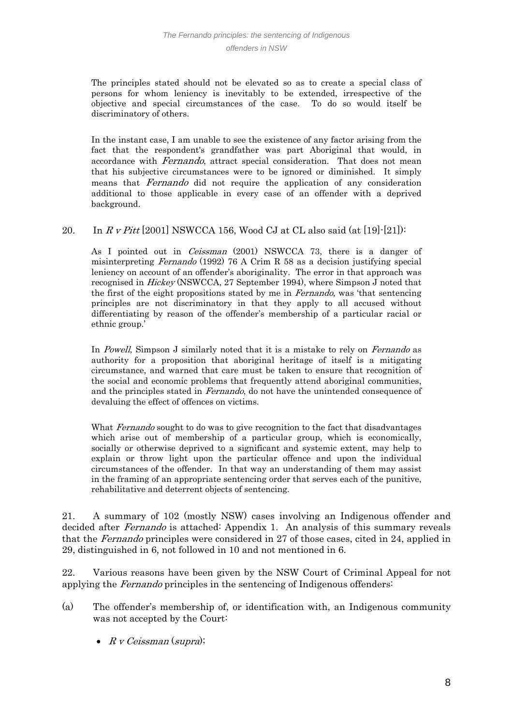The principles stated should not be elevated so as to create a special class of persons for whom leniency is inevitably to be extended, irrespective of the objective and special circumstances of the case. To do so would itself be discriminatory of others.

In the instant case, I am unable to see the existence of any factor arising from the fact that the respondent's grandfather was part Aboriginal that would, in accordance with Fernando, attract special consideration. That does not mean that his subjective circumstances were to be ignored or diminished. It simply means that Fernando did not require the application of any consideration additional to those applicable in every case of an offender with a deprived background.

#### 20. In  $R \, v \, Pitt [2001]$  NSWCCA 156, Wood CJ at CL also said (at [19] $-[21]$ ):

As I pointed out in Ceissman (2001) NSWCCA 73, there is a danger of misinterpreting Fernando (1992) 76 A Crim R 58 as a decision justifying special leniency on account of an offender's aboriginality. The error in that approach was recognised in Hickey (NSWCCA, 27 September 1994), where Simpson J noted that the first of the eight propositions stated by me in Fernando, was 'that sentencing principles are not discriminatory in that they apply to all accused without differentiating by reason of the offender's membership of a particular racial or ethnic group.'

In *Powell*, Simpson J similarly noted that it is a mistake to rely on *Fernando* as authority for a proposition that aboriginal heritage of itself is a mitigating circumstance, and warned that care must be taken to ensure that recognition of the social and economic problems that frequently attend aboriginal communities, and the principles stated in *Fernando*, do not have the unintended consequence of devaluing the effect of offences on victims.

What Fernando sought to do was to give recognition to the fact that disadvantages which arise out of membership of a particular group, which is economically, socially or otherwise deprived to a significant and systemic extent, may help to explain or throw light upon the particular offence and upon the individual circumstances of the offender. In that way an understanding of them may assist in the framing of an appropriate sentencing order that serves each of the punitive, rehabilitative and deterrent objects of sentencing.

21. A summary of 102 (mostly NSW) cases involving an Indigenous offender and decided after *Fernando* is attached: Appendix 1. An analysis of this summary reveals that the Fernando principles were considered in 27 of those cases, cited in 24, applied in 29, distinguished in 6, not followed in 10 and not mentioned in 6.

22. Various reasons have been given by the NSW Court of Criminal Appeal for not applying the Fernando principles in the sentencing of Indigenous offenders:

- (a) The offender's membership of, or identification with, an Indigenous community was not accepted by the Court:
	- $\bullet$  R v Ceissman (supra);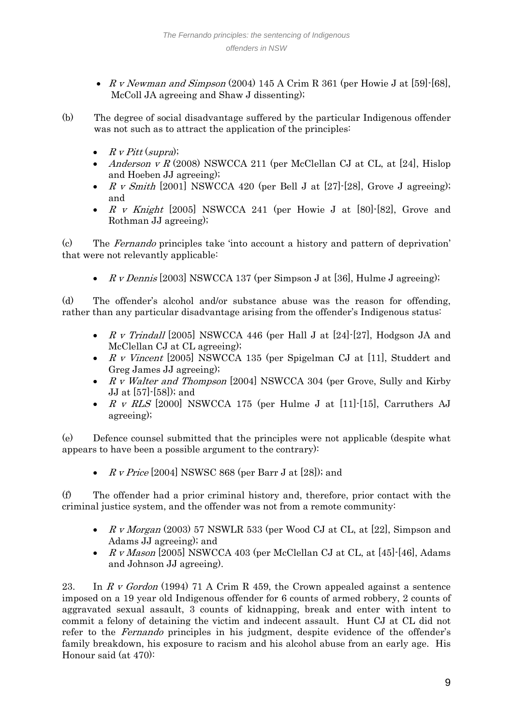- R v Newman and Simpson (2004) 145 A Crim R 361 (per Howie J at [59] $\cdot$ [68], McColl JA agreeing and Shaw J dissenting);
- (b) The degree of social disadvantage suffered by the particular Indigenous offender was not such as to attract the application of the principles:
	- $R \, v \, Pitt \, (supra);$
	- Anderson v  $R$  (2008) NSWCCA 211 (per McClellan CJ at CL, at [24], Hislop and Hoeben JJ agreeing);
	- R v Smith [2001] NSWCCA 420 (per Bell J at [27]-[28], Grove J agreeing); and
	- $R$  v Knight [2005] NSWCCA 241 (per Howie J at [80]-[82], Grove and Rothman JJ agreeing);

(c) The Fernando principles take 'into account a history and pattern of deprivation' that were not relevantly applicable:

•  $R v$  Dennis [2003] NSWCCA 137 (per Simpson J at [36], Hulme J agreeing);

(d) The offender's alcohol and/or substance abuse was the reason for offending, rather than any particular disadvantage arising from the offender's Indigenous status:

- R v Trindall [2005] NSWCCA 446 (per Hall J at [24]-[27], Hodgson JA and McClellan CJ at CL agreeing);
- $R$  v Vincent [2005] NSWCCA 135 (per Spigelman CJ at [11], Studdert and Greg James JJ agreeing);
- $R$  v Walter and Thompson [2004] NSWCCA 304 (per Grove, Sully and Kirby JJ at [57]-[58]); and
- $R$  v RLS [2000] NSWCCA 175 (per Hulme J at [11]-[15], Carruthers AJ agreeing);

(e) Defence counsel submitted that the principles were not applicable (despite what appears to have been a possible argument to the contrary):

•  $R \, v \, Price \, [2004]$  NSWSC 868 (per Barr J at [28]); and

(f) The offender had a prior criminal history and, therefore, prior contact with the criminal justice system, and the offender was not from a remote community:

- $R \text{ } v$  Morgan (2003) 57 NSWLR 533 (per Wood CJ at CL, at [22], Simpson and Adams JJ agreeing); and
- $R \text{ v}$  Mason [2005] NSWCCA 403 (per McClellan CJ at CL, at [45] $\cdot$ [46], Adams and Johnson JJ agreeing).

23. In R v Gordon (1994) 71 A Crim R 459, the Crown appealed against a sentence imposed on a 19 year old Indigenous offender for 6 counts of armed robbery, 2 counts of aggravated sexual assault, 3 counts of kidnapping, break and enter with intent to commit a felony of detaining the victim and indecent assault. Hunt CJ at CL did not refer to the *Fernando* principles in his judgment, despite evidence of the offender's family breakdown, his exposure to racism and his alcohol abuse from an early age. His Honour said (at 470):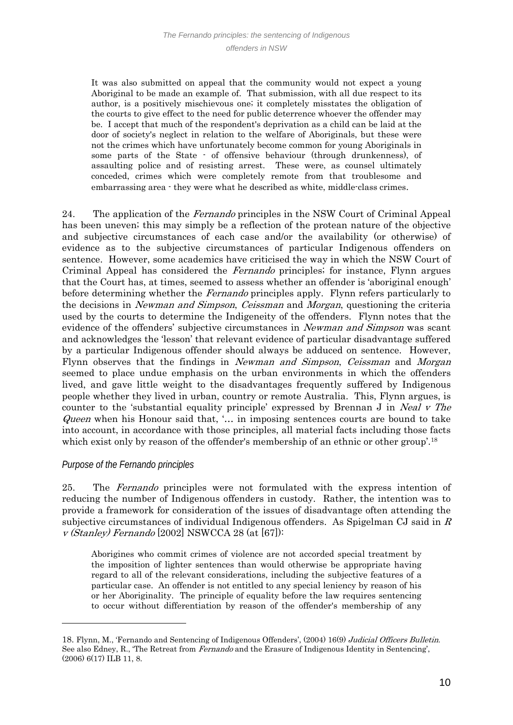It was also submitted on appeal that the community would not expect a young Aboriginal to be made an example of. That submission, with all due respect to its author, is a positively mischievous one; it completely misstates the obligation of the courts to give effect to the need for public deterrence whoever the offender may be. I accept that much of the respondent's deprivation as a child can be laid at the door of society's neglect in relation to the welfare of Aboriginals, but these were not the crimes which have unfortunately become common for young Aboriginals in some parts of the State - of offensive behaviour (through drunkenness), of assaulting police and of resisting arrest. These were, as counsel ultimately conceded, crimes which were completely remote from that troublesome and embarrassing area - they were what he described as white, middle-class crimes.

24. The application of the Fernando principles in the NSW Court of Criminal Appeal has been uneven; this may simply be a reflection of the protean nature of the objective and subjective circumstances of each case and/or the availability (or otherwise) of evidence as to the subjective circumstances of particular Indigenous offenders on sentence. However, some academics have criticised the way in which the NSW Court of Criminal Appeal has considered the Fernando principles; for instance, Flynn argues that the Court has, at times, seemed to assess whether an offender is 'aboriginal enough' before determining whether the Fernando principles apply. Flynn refers particularly to the decisions in Newman and Simpson, Ceissman and Morgan, questioning the criteria used by the courts to determine the Indigeneity of the offenders. Flynn notes that the evidence of the offenders' subjective circumstances in *Newman and Simpson* was scant and acknowledges the 'lesson' that relevant evidence of particular disadvantage suffered by a particular Indigenous offender should always be adduced on sentence. However, Flynn observes that the findings in Newman and Simpson, Ceissman and Morgan seemed to place undue emphasis on the urban environments in which the offenders lived, and gave little weight to the disadvantages frequently suffered by Indigenous people whether they lived in urban, country or remote Australia. This, Flynn argues, is counter to the 'substantial equality principle' expressed by Brennan J in *Neal v The* Queen when his Honour said that, '… in imposing sentences courts are bound to take into account, in accordance with those principles, all material facts including those facts which exist only by reason of the offender's membership of an ethnic or other group'.<sup>18</sup>

#### *Purpose of the Fernando principles*

1

25. The Fernando principles were not formulated with the express intention of reducing the number of Indigenous offenders in custody. Rather, the intention was to provide a framework for consideration of the issues of disadvantage often attending the subjective circumstances of individual Indigenous offenders. As Spigelman CJ said in  $R$ v (Stanley) Fernando [2002] NSWCCA 28 (at [67]):

Aborigines who commit crimes of violence are not accorded special treatment by the imposition of lighter sentences than would otherwise be appropriate having regard to all of the relevant considerations, including the subjective features of a particular case. An offender is not entitled to any special leniency by reason of his or her Aboriginality. The principle of equality before the law requires sentencing to occur without differentiation by reason of the offender's membership of any

<sup>18.</sup> Flynn, M., 'Fernando and Sentencing of Indigenous Offenders', (2004) 16(9) Judicial Officers Bulletin. See also Edney, R., 'The Retreat from Fernando and the Erasure of Indigenous Identity in Sentencing', (2006) 6(17) ILB 11, 8.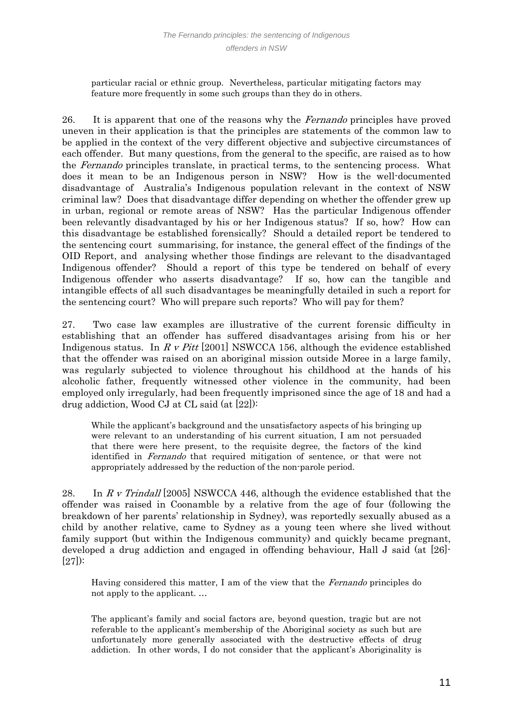particular racial or ethnic group. Nevertheless, particular mitigating factors may feature more frequently in some such groups than they do in others.

26. It is apparent that one of the reasons why the Fernando principles have proved uneven in their application is that the principles are statements of the common law to be applied in the context of the very different objective and subjective circumstances of each offender. But many questions, from the general to the specific, are raised as to how the Fernando principles translate, in practical terms, to the sentencing process. What does it mean to be an Indigenous person in NSW? How is the well-documented disadvantage of Australia's Indigenous population relevant in the context of NSW criminal law? Does that disadvantage differ depending on whether the offender grew up in urban, regional or remote areas of NSW? Has the particular Indigenous offender been relevantly disadvantaged by his or her Indigenous status? If so, how? How can this disadvantage be established forensically? Should a detailed report be tendered to the sentencing court summarising, for instance, the general effect of the findings of the OID Report, and analysing whether those findings are relevant to the disadvantaged Indigenous offender? Should a report of this type be tendered on behalf of every Indigenous offender who asserts disadvantage? If so, how can the tangible and intangible effects of all such disadvantages be meaningfully detailed in such a report for the sentencing court? Who will prepare such reports? Who will pay for them?

27. Two case law examples are illustrative of the current forensic difficulty in establishing that an offender has suffered disadvantages arising from his or her Indigenous status. In R v Pitt [2001] NSWCCA 156, although the evidence established that the offender was raised on an aboriginal mission outside Moree in a large family, was regularly subjected to violence throughout his childhood at the hands of his alcoholic father, frequently witnessed other violence in the community, had been employed only irregularly, had been frequently imprisoned since the age of 18 and had a drug addiction, Wood CJ at CL said (at [22]):

While the applicant's background and the unsatisfactory aspects of his bringing up were relevant to an understanding of his current situation, I am not persuaded that there were here present, to the requisite degree, the factors of the kind identified in Fernando that required mitigation of sentence, or that were not appropriately addressed by the reduction of the non-parole period.

28. In R v Trindall [2005] NSWCCA 446, although the evidence established that the offender was raised in Coonamble by a relative from the age of four (following the breakdown of her parents' relationship in Sydney), was reportedly sexually abused as a child by another relative, came to Sydney as a young teen where she lived without family support (but within the Indigenous community) and quickly became pregnant, developed a drug addiction and engaged in offending behaviour, Hall J said (at [26]- [27]):

Having considered this matter, I am of the view that the *Fernando* principles do not apply to the applicant. …

The applicant's family and social factors are, beyond question, tragic but are not referable to the applicant's membership of the Aboriginal society as such but are unfortunately more generally associated with the destructive effects of drug addiction. In other words, I do not consider that the applicant's Aboriginality is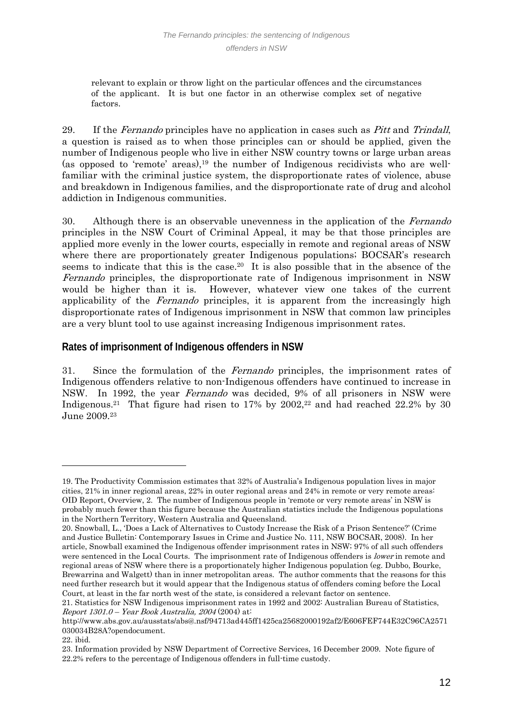relevant to explain or throw light on the particular offences and the circumstances of the applicant. It is but one factor in an otherwise complex set of negative factors.

29. If the *Fernando* principles have no application in cases such as *Pitt* and Trindall, a question is raised as to when those principles can or should be applied, given the number of Indigenous people who live in either NSW country towns or large urban areas (as opposed to 'remote' areas),19 the number of Indigenous recidivists who are wellfamiliar with the criminal justice system, the disproportionate rates of violence, abuse and breakdown in Indigenous families, and the disproportionate rate of drug and alcohol addiction in Indigenous communities.

30. Although there is an observable unevenness in the application of the Fernando principles in the NSW Court of Criminal Appeal, it may be that those principles are applied more evenly in the lower courts, especially in remote and regional areas of NSW where there are proportionately greater Indigenous populations; BOCSAR's research seems to indicate that this is the case.<sup>20</sup> It is also possible that in the absence of the Fernando principles, the disproportionate rate of Indigenous imprisonment in NSW would be higher than it is. However, whatever view one takes of the current applicability of the *Fernando* principles, it is apparent from the increasingly high disproportionate rates of Indigenous imprisonment in NSW that common law principles are a very blunt tool to use against increasing Indigenous imprisonment rates.

## **Rates of imprisonment of Indigenous offenders in NSW**

31. Since the formulation of the Fernando principles, the imprisonment rates of Indigenous offenders relative to non-Indigenous offenders have continued to increase in NSW. In 1992, the year Fernando was decided, 9% of all prisoners in NSW were Indigenous.<sup>21</sup> That figure had risen to 17% by 2002,<sup>22</sup> and had reached 22.2% by 30 June 2009.23

<sup>19.</sup> The Productivity Commission estimates that 32% of Australia's Indigenous population lives in major cities, 21% in inner regional areas, 22% in outer regional areas and 24% in remote or very remote areas: OID Report, Overview, 2. The number of Indigenous people in 'remote or very remote areas' in NSW is probably much fewer than this figure because the Australian statistics include the Indigenous populations in the Northern Territory, Western Australia and Queensland.

<sup>20.</sup> Snowball, L., 'Does a Lack of Alternatives to Custody Increase the Risk of a Prison Sentence?' (Crime and Justice Bulletin: Contemporary Issues in Crime and Justice No. 111, NSW BOCSAR, 2008). In her article, Snowball examined the Indigenous offender imprisonment rates in NSW; 97% of all such offenders were sentenced in the Local Courts. The imprisonment rate of Indigenous offenders is lower in remote and regional areas of NSW where there is a proportionately higher Indigenous population (eg. Dubbo, Bourke, Brewarrina and Walgett) than in inner metropolitan areas. The author comments that the reasons for this need further research but it would appear that the Indigenous status of offenders coming before the Local Court, at least in the far north west of the state, is considered a relevant factor on sentence.

<sup>21.</sup> Statistics for NSW Indigenous imprisonment rates in 1992 and 2002: Australian Bureau of Statistics, Report 1301.0 – Year Book Australia, 2004 (2004) at:

http://www.abs.gov.au/ausstats/abs@.nsf/94713ad445ff1425ca25682000192af2/E606FEF744E32C96CA2571 030034B28A?opendocument.

<sup>22.</sup> ibid.

<sup>23.</sup> Information provided by NSW Department of Corrective Services, 16 December 2009. Note figure of 22.2% refers to the percentage of Indigenous offenders in full-time custody.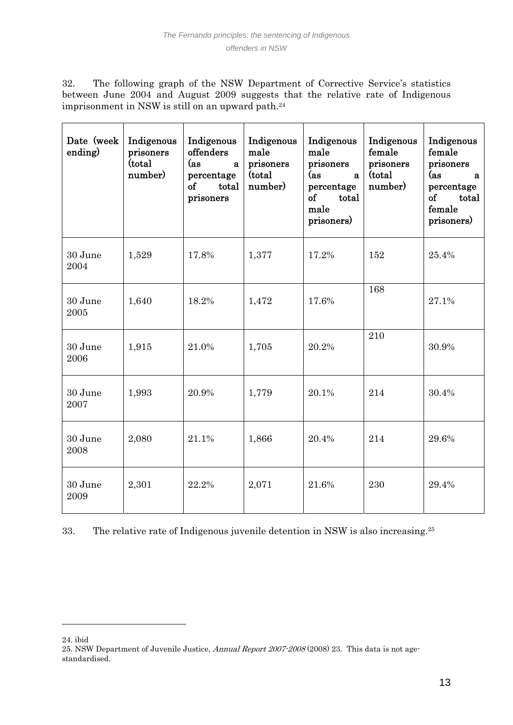32. The following graph of the NSW Department of Corrective Service's statistics between June 2004 and August 2009 suggests that the relative rate of Indigenous imprisonment in NSW is still on an upward path.24

| Date (week<br>ending) | Indigenous<br>prisoners<br>(total)<br>number) | Indigenous<br>offenders<br>(as<br>$\mathbf{a}$<br>percentage<br>of<br>total<br>prisoners | Indigenous<br>male<br>prisoners<br>(total<br>number) | Indigenous<br>male<br>prisoners<br>(a <sub>s</sub> )<br>a<br>percentage<br>total<br><sub>of</sub><br>male<br>prisoners) | Indigenous<br>female<br>$\,$ prisoners<br>(total)<br>number) | Indigenous<br>female<br>prisoners<br>(as<br>$\mathbf{a}$<br>percentage<br><sub>of</sub><br>total<br>female<br>prisoners) |
|-----------------------|-----------------------------------------------|------------------------------------------------------------------------------------------|------------------------------------------------------|-------------------------------------------------------------------------------------------------------------------------|--------------------------------------------------------------|--------------------------------------------------------------------------------------------------------------------------|
| 30 June<br>2004       | 1,529                                         | 17.8%                                                                                    | 1,377                                                | 17.2%                                                                                                                   | 152                                                          | 25.4%                                                                                                                    |
| 30 June<br>2005       | 1,640                                         | 18.2%                                                                                    | 1,472                                                | 17.6%                                                                                                                   | 168                                                          | 27.1%                                                                                                                    |
| 30 June<br>2006       | 1,915                                         | 21.0%                                                                                    | 1,705                                                | 20.2%                                                                                                                   | 210                                                          | 30.9%                                                                                                                    |
| 30 June<br>2007       | 1,993                                         | 20.9%                                                                                    | 1,779                                                | 20.1%                                                                                                                   | 214                                                          | 30.4%                                                                                                                    |
| 30 June<br>2008       | 2,080                                         | 21.1%                                                                                    | 1,866                                                | 20.4%                                                                                                                   | 214                                                          | 29.6%                                                                                                                    |
| 30 June<br>2009       | 2,301                                         | 22.2%                                                                                    | 2,071                                                | 21.6%                                                                                                                   | 230                                                          | 29.4%                                                                                                                    |

33. The relative rate of Indigenous juvenile detention in NSW is also increasing.25

<sup>24.</sup> ibid

<sup>25.</sup> NSW Department of Juvenile Justice, Annual Report 2007-2008 (2008) 23. This data is not agestandardised.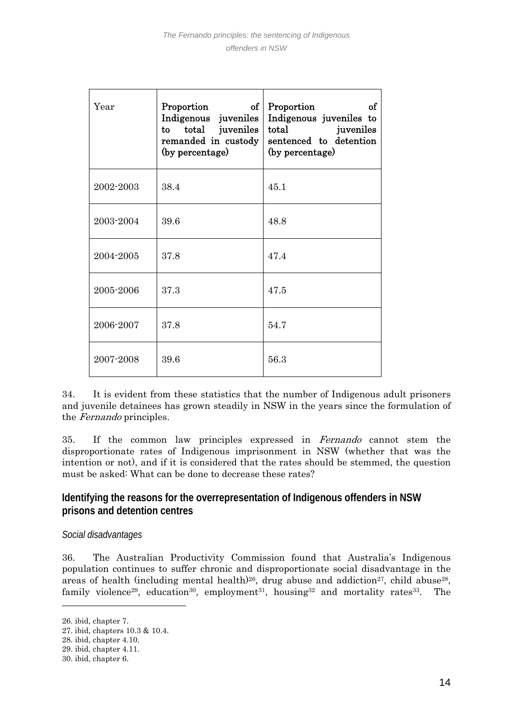| Year      | Proportion<br>of<br>Indigenous juveniles<br>to total juveniles<br>remanded in custody<br>(by percentage) | Proportion<br>of<br>Indigenous juveniles to<br>total juveniles<br>sentenced to detention<br>(by percentage) |
|-----------|----------------------------------------------------------------------------------------------------------|-------------------------------------------------------------------------------------------------------------|
| 2002-2003 | 38.4                                                                                                     | 45.1                                                                                                        |
| 2003-2004 | 39.6                                                                                                     | 48.8                                                                                                        |
| 2004-2005 | 37.8                                                                                                     | 47.4                                                                                                        |
| 2005-2006 | 37.3                                                                                                     | 47.5                                                                                                        |
| 2006-2007 | 37.8                                                                                                     | 54.7                                                                                                        |
| 2007-2008 | 39.6                                                                                                     | 56.3                                                                                                        |

34. It is evident from these statistics that the number of Indigenous adult prisoners and juvenile detainees has grown steadily in NSW in the years since the formulation of the Fernando principles.

35. If the common law principles expressed in Fernando cannot stem the disproportionate rates of Indigenous imprisonment in NSW (whether that was the intention or not), and if it is considered that the rates should be stemmed, the question must be asked: What can be done to decrease these rates?

## **Identifying the reasons for the overrepresentation of Indigenous offenders in NSW prisons and detention centres**

#### *Social disadvantages*

36. The Australian Productivity Commission found that Australia's Indigenous population continues to suffer chronic and disproportionate social disadvantage in the areas of health (including mental health)<sup>26</sup>, drug abuse and addiction<sup>27</sup>, child abuse<sup>28</sup>, family violence<sup>29</sup>, education<sup>30</sup>, employment<sup>31</sup>, housing<sup>32</sup> and mortality rates<sup>33</sup>. The

<sup>26.</sup> ibid, chapter 7.

<sup>27.</sup> ibid, chapters 10.3 & 10.4.

<sup>28.</sup> ibid, chapter 4.10.

<sup>29.</sup> ibid, chapter 4.11.

<sup>30.</sup> ibid, chapter 6.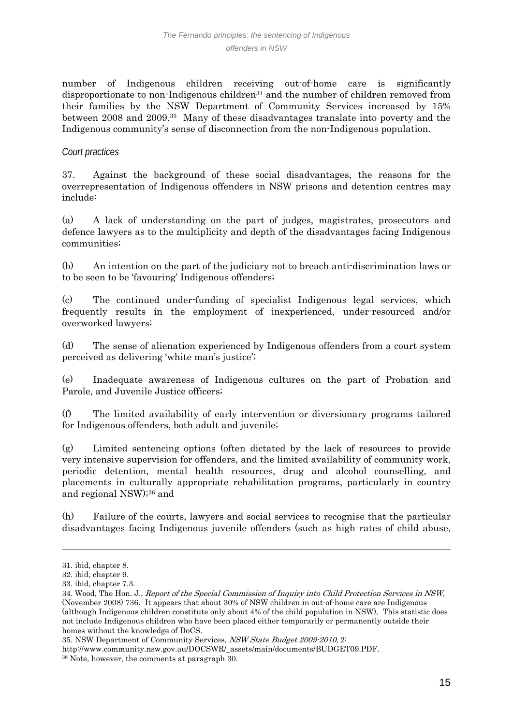number of Indigenous children receiving out-of-home care is significantly disproportionate to non-Indigenous children<sup>34</sup> and the number of children removed from their families by the NSW Department of Community Services increased by 15% between 2008 and 2009.35 Many of these disadvantages translate into poverty and the Indigenous community's sense of disconnection from the non-Indigenous population.

## *Court practices*

37. Against the background of these social disadvantages, the reasons for the overrepresentation of Indigenous offenders in NSW prisons and detention centres may include:

(a) A lack of understanding on the part of judges, magistrates, prosecutors and defence lawyers as to the multiplicity and depth of the disadvantages facing Indigenous communities;

(b) An intention on the part of the judiciary not to breach anti-discrimination laws or to be seen to be 'favouring' Indigenous offenders;

(c) The continued under-funding of specialist Indigenous legal services, which frequently results in the employment of inexperienced, under-resourced and/or overworked lawyers;

(d) The sense of alienation experienced by Indigenous offenders from a court system perceived as delivering 'white man's justice';

(e) Inadequate awareness of Indigenous cultures on the part of Probation and Parole, and Juvenile Justice officers;

(f) The limited availability of early intervention or diversionary programs tailored for Indigenous offenders, both adult and juvenile;

(g) Limited sentencing options (often dictated by the lack of resources to provide very intensive supervision for offenders, and the limited availability of community work, periodic detention, mental health resources, drug and alcohol counselling, and placements in culturally appropriate rehabilitation programs, particularly in country and regional NSW);36 and

(h) Failure of the courts, lawyers and social services to recognise that the particular disadvantages facing Indigenous juvenile offenders (such as high rates of child abuse,

<sup>31.</sup> ibid, chapter 8.

<sup>32.</sup> ibid, chapter 9.

<sup>33.</sup> ibid, chapter 7.3.

<sup>34.</sup> Wood, The Hon. J., Report of the Special Commission of Inquiry into Child Protection Services in NSW, (November 2008) 736. It appears that about 30% of NSW children in out-of-home care are Indigenous (although Indigenous children constitute only about 4% of the child population in NSW). This statistic does not include Indigenous children who have been placed either temporarily or permanently outside their homes without the knowledge of DoCS.

<sup>35.</sup> NSW Department of Community Services, NSW State Budget 2009-2010, 2:

http://www.community.nsw.gov.au/DOCSWR/\_assets/main/documents/BUDGET09.PDF. 36 Note, however, the comments at paragraph 30.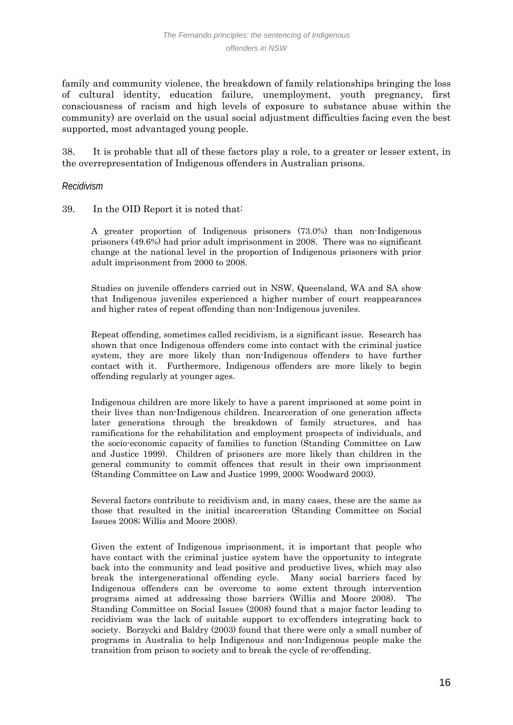family and community violence, the breakdown of family relationships bringing the loss of cultural identity, education failure, unemployment, youth pregnancy, first consciousness of racism and high levels of exposure to substance abuse within the community) are overlaid on the usual social adjustment difficulties facing even the best supported, most advantaged young people.

38. It is probable that all of these factors play a role, to a greater or lesser extent, in the overrepresentation of Indigenous offenders in Australian prisons.

#### *Recidivism*

39. In the OID Report it is noted that:

A greater proportion of Indigenous prisoners (73.0%) than non-Indigenous prisoners (49.6%) had prior adult imprisonment in 2008. There was no significant change at the national level in the proportion of Indigenous prisoners with prior adult imprisonment from 2000 to 2008.

Studies on juvenile offenders carried out in NSW, Queensland, WA and SA show that Indigenous juveniles experienced a higher number of court reappearances and higher rates of repeat offending than non-Indigenous juveniles.

Repeat offending, sometimes called recidivism, is a significant issue. Research has shown that once Indigenous offenders come into contact with the criminal justice system, they are more likely than non-Indigenous offenders to have further contact with it. Furthermore, Indigenous offenders are more likely to begin offending regularly at younger ages.

Indigenous children are more likely to have a parent imprisoned at some point in their lives than non-Indigenous children. Incarceration of one generation affects later generations through the breakdown of family structures, and has ramifications for the rehabilitation and employment prospects of individuals, and the socio-economic capacity of families to function (Standing Committee on Law and Justice 1999). Children of prisoners are more likely than children in the general community to commit offences that result in their own imprisonment (Standing Committee on Law and Justice 1999, 2000; Woodward 2003).

Several factors contribute to recidivism and, in many cases, these are the same as those that resulted in the initial incarceration (Standing Committee on Social Issues 2008; Willis and Moore 2008).

Given the extent of Indigenous imprisonment, it is important that people who have contact with the criminal justice system have the opportunity to integrate back into the community and lead positive and productive lives, which may also break the intergenerational offending cycle. Many social barriers faced by Indigenous offenders can be overcome to some extent through intervention programs aimed at addressing those barriers (Willis and Moore 2008). The Standing Committee on Social Issues (2008) found that a major factor leading to recidivism was the lack of suitable support to ex-offenders integrating back to society. Borzycki and Baldry (2003) found that there were only a small number of programs in Australia to help Indigenous and non-Indigenous people make the transition from prison to society and to break the cycle of re-offending.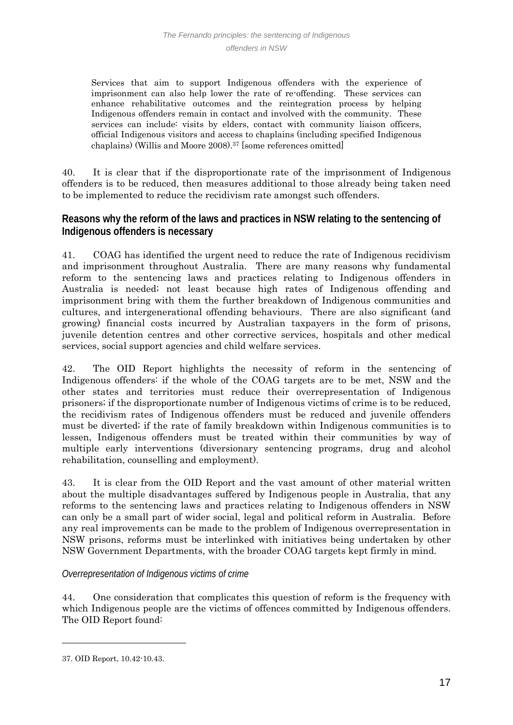Services that aim to support Indigenous offenders with the experience of imprisonment can also help lower the rate of re-offending. These services can enhance rehabilitative outcomes and the reintegration process by helping Indigenous offenders remain in contact and involved with the community. These services can include: visits by elders, contact with community liaison officers, official Indigenous visitors and access to chaplains (including specified Indigenous chaplains) (Willis and Moore 2008).37 [some references omitted]

40. It is clear that if the disproportionate rate of the imprisonment of Indigenous offenders is to be reduced, then measures additional to those already being taken need to be implemented to reduce the recidivism rate amongst such offenders.

## **Reasons why the reform of the laws and practices in NSW relating to the sentencing of Indigenous offenders is necessary**

41. COAG has identified the urgent need to reduce the rate of Indigenous recidivism and imprisonment throughout Australia. There are many reasons why fundamental reform to the sentencing laws and practices relating to Indigenous offenders in Australia is needed; not least because high rates of Indigenous offending and imprisonment bring with them the further breakdown of Indigenous communities and cultures, and intergenerational offending behaviours. There are also significant (and growing) financial costs incurred by Australian taxpayers in the form of prisons, juvenile detention centres and other corrective services, hospitals and other medical services, social support agencies and child welfare services.

42. The OID Report highlights the necessity of reform in the sentencing of Indigenous offenders: if the whole of the COAG targets are to be met, NSW and the other states and territories must reduce their overrepresentation of Indigenous prisoners; if the disproportionate number of Indigenous victims of crime is to be reduced, the recidivism rates of Indigenous offenders must be reduced and juvenile offenders must be diverted; if the rate of family breakdown within Indigenous communities is to lessen, Indigenous offenders must be treated within their communities by way of multiple early interventions (diversionary sentencing programs, drug and alcohol rehabilitation, counselling and employment).

43. It is clear from the OID Report and the vast amount of other material written about the multiple disadvantages suffered by Indigenous people in Australia, that any reforms to the sentencing laws and practices relating to Indigenous offenders in NSW can only be a small part of wider social, legal and political reform in Australia. Before any real improvements can be made to the problem of Indigenous overrepresentation in NSW prisons, reforms must be interlinked with initiatives being undertaken by other NSW Government Departments, with the broader COAG targets kept firmly in mind.

## *Overrepresentation of Indigenous victims of crime*

44. One consideration that complicates this question of reform is the frequency with which Indigenous people are the victims of offences committed by Indigenous offenders. The OID Report found:

<sup>37.</sup> OID Report, 10.42-10.43.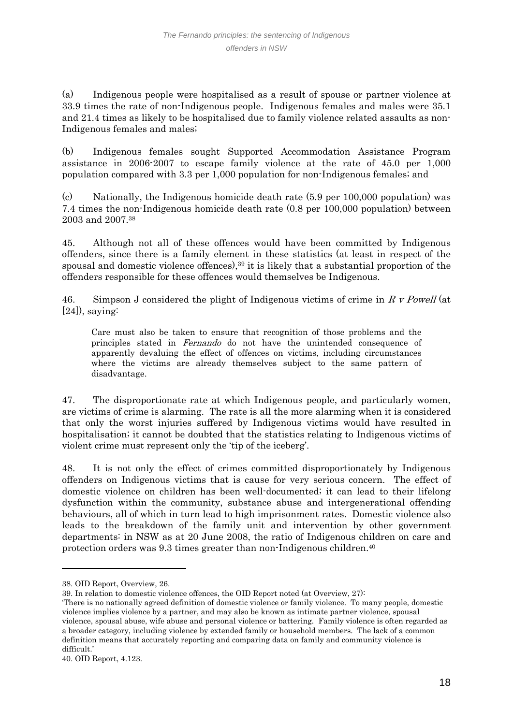(a) Indigenous people were hospitalised as a result of spouse or partner violence at 33.9 times the rate of non-Indigenous people. Indigenous females and males were 35.1 and 21.4 times as likely to be hospitalised due to family violence related assaults as non-Indigenous females and males;

(b) Indigenous females sought Supported Accommodation Assistance Program assistance in 2006-2007 to escape family violence at the rate of 45.0 per 1,000 population compared with 3.3 per 1,000 population for non-Indigenous females; and

(c) Nationally, the Indigenous homicide death rate (5.9 per 100,000 population) was 7.4 times the non-Indigenous homicide death rate (0.8 per 100,000 population) between 2003 and 2007.38

45. Although not all of these offences would have been committed by Indigenous offenders, since there is a family element in these statistics (at least in respect of the spousal and domestic violence offences),<sup>39</sup> it is likely that a substantial proportion of the offenders responsible for these offences would themselves be Indigenous.

46. Simpson J considered the plight of Indigenous victims of crime in  $R \, v \, Powell$  (at  $[24]$ , saying:

Care must also be taken to ensure that recognition of those problems and the principles stated in Fernando do not have the unintended consequence of apparently devaluing the effect of offences on victims, including circumstances where the victims are already themselves subject to the same pattern of disadvantage.

47. The disproportionate rate at which Indigenous people, and particularly women, are victims of crime is alarming. The rate is all the more alarming when it is considered that only the worst injuries suffered by Indigenous victims would have resulted in hospitalisation; it cannot be doubted that the statistics relating to Indigenous victims of violent crime must represent only the 'tip of the iceberg'.

48. It is not only the effect of crimes committed disproportionately by Indigenous offenders on Indigenous victims that is cause for very serious concern. The effect of domestic violence on children has been well-documented; it can lead to their lifelong dysfunction within the community, substance abuse and intergenerational offending behaviours, all of which in turn lead to high imprisonment rates. Domestic violence also leads to the breakdown of the family unit and intervention by other government departments: in NSW as at 20 June 2008, the ratio of Indigenous children on care and protection orders was 9.3 times greater than non-Indigenous children.40

<sup>38.</sup> OID Report, Overview, 26.

<sup>39.</sup> In relation to domestic violence offences, the OID Report noted (at Overview, 27):

<sup>&#</sup>x27;There is no nationally agreed definition of domestic violence or family violence. To many people, domestic violence implies violence by a partner, and may also be known as intimate partner violence, spousal violence, spousal abuse, wife abuse and personal violence or battering. Family violence is often regarded as a broader category, including violence by extended family or household members. The lack of a common definition means that accurately reporting and comparing data on family and community violence is difficult.'

<sup>40.</sup> OID Report, 4.123.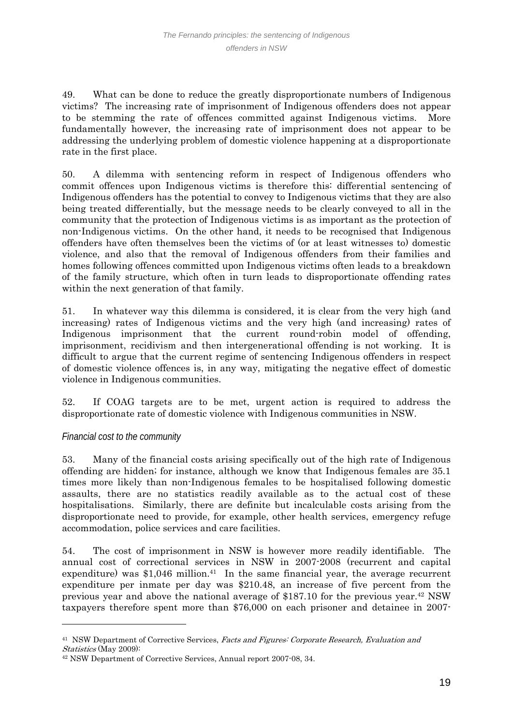49. What can be done to reduce the greatly disproportionate numbers of Indigenous victims? The increasing rate of imprisonment of Indigenous offenders does not appear to be stemming the rate of offences committed against Indigenous victims. More fundamentally however, the increasing rate of imprisonment does not appear to be addressing the underlying problem of domestic violence happening at a disproportionate rate in the first place.

50. A dilemma with sentencing reform in respect of Indigenous offenders who commit offences upon Indigenous victims is therefore this: differential sentencing of Indigenous offenders has the potential to convey to Indigenous victims that they are also being treated differentially, but the message needs to be clearly conveyed to all in the community that the protection of Indigenous victims is as important as the protection of non-Indigenous victims. On the other hand, it needs to be recognised that Indigenous offenders have often themselves been the victims of (or at least witnesses to) domestic violence, and also that the removal of Indigenous offenders from their families and homes following offences committed upon Indigenous victims often leads to a breakdown of the family structure, which often in turn leads to disproportionate offending rates within the next generation of that family.

51. In whatever way this dilemma is considered, it is clear from the very high (and increasing) rates of Indigenous victims and the very high (and increasing) rates of Indigenous imprisonment that the current round-robin model of offending, imprisonment, recidivism and then intergenerational offending is not working. It is difficult to argue that the current regime of sentencing Indigenous offenders in respect of domestic violence offences is, in any way, mitigating the negative effect of domestic violence in Indigenous communities.

52. If COAG targets are to be met, urgent action is required to address the disproportionate rate of domestic violence with Indigenous communities in NSW.

## *Financial cost to the community*

1

53. Many of the financial costs arising specifically out of the high rate of Indigenous offending are hidden; for instance, although we know that Indigenous females are 35.1 times more likely than non-Indigenous females to be hospitalised following domestic assaults, there are no statistics readily available as to the actual cost of these hospitalisations. Similarly, there are definite but incalculable costs arising from the disproportionate need to provide, for example, other health services, emergency refuge accommodation, police services and care facilities.

54. The cost of imprisonment in NSW is however more readily identifiable. The annual cost of correctional services in NSW in 2007-2008 (recurrent and capital expenditure) was  $$1,046$  million.<sup>41</sup> In the same financial year, the average recurrent expenditure per inmate per day was \$210.48, an increase of five percent from the previous year and above the national average of \$187.10 for the previous year.42 NSW taxpayers therefore spent more than \$76,000 on each prisoner and detainee in 2007-

<sup>&</sup>lt;sup>41</sup> NSW Department of Corrective Services, Facts and Figures: Corporate Research, Evaluation and Statistics (May 2009):<br><sup>42</sup> NSW Department of Corrective Services, Annual report 2007-08, 34.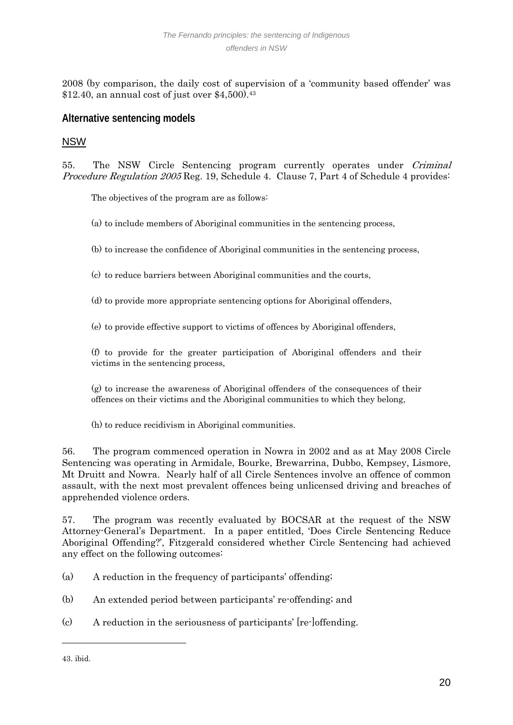2008 (by comparison, the daily cost of supervision of a 'community based offender' was \$12.40, an annual cost of just over \$4,500).43

### **Alternative sentencing models**

#### NSW

55. The NSW Circle Sentencing program currently operates under Criminal Procedure Regulation 2005 Reg. 19, Schedule 4. Clause 7, Part 4 of Schedule 4 provides:

The objectives of the program are as follows:

(a) to include members of Aboriginal communities in the sentencing process,

(b) to increase the confidence of Aboriginal communities in the sentencing process,

(c) to reduce barriers between Aboriginal communities and the courts,

(d) to provide more appropriate sentencing options for Aboriginal offenders,

(e) to provide effective support to victims of offences by Aboriginal offenders,

(f) to provide for the greater participation of Aboriginal offenders and their victims in the sentencing process,

(g) to increase the awareness of Aboriginal offenders of the consequences of their offences on their victims and the Aboriginal communities to which they belong,

(h) to reduce recidivism in Aboriginal communities.

56. The program commenced operation in Nowra in 2002 and as at May 2008 Circle Sentencing was operating in Armidale, Bourke, Brewarrina, Dubbo, Kempsey, Lismore, Mt Druitt and Nowra. Nearly half of all Circle Sentences involve an offence of common assault, with the next most prevalent offences being unlicensed driving and breaches of apprehended violence orders.

57. The program was recently evaluated by BOCSAR at the request of the NSW Attorney-General's Department. In a paper entitled, 'Does Circle Sentencing Reduce Aboriginal Offending?', Fitzgerald considered whether Circle Sentencing had achieved any effect on the following outcomes:

- (a) A reduction in the frequency of participants' offending;
- (b) An extended period between participants' re-offending; and
- (c) A reduction in the seriousness of participants' [re-]offending.

<sup>43.</sup> ibid.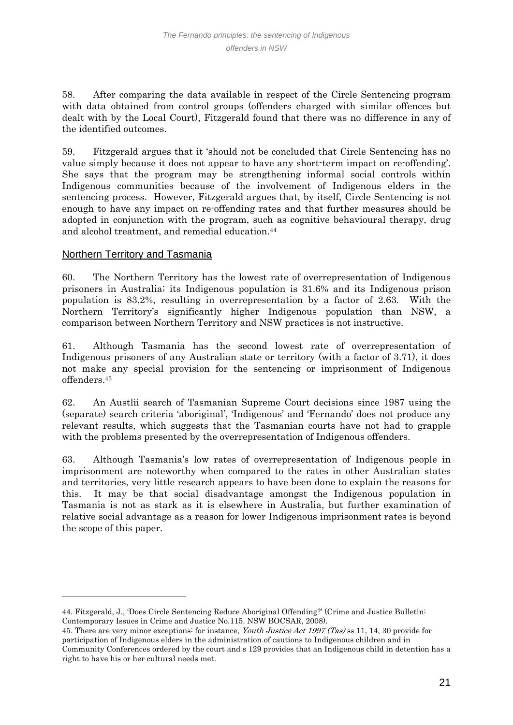58. After comparing the data available in respect of the Circle Sentencing program with data obtained from control groups (offenders charged with similar offences but dealt with by the Local Court), Fitzgerald found that there was no difference in any of the identified outcomes.

59. Fitzgerald argues that it 'should not be concluded that Circle Sentencing has no value simply because it does not appear to have any short-term impact on re-offending'. She says that the program may be strengthening informal social controls within Indigenous communities because of the involvement of Indigenous elders in the sentencing process. However, Fitzgerald argues that, by itself, Circle Sentencing is not enough to have any impact on re-offending rates and that further measures should be adopted in conjunction with the program, such as cognitive behavioural therapy, drug and alcohol treatment, and remedial education.44

## Northern Territory and Tasmania

 $\overline{a}$ 

60. The Northern Territory has the lowest rate of overrepresentation of Indigenous prisoners in Australia; its Indigenous population is 31.6% and its Indigenous prison population is 83.2%, resulting in overrepresentation by a factor of 2.63. With the Northern Territory's significantly higher Indigenous population than NSW, a comparison between Northern Territory and NSW practices is not instructive.

61. Although Tasmania has the second lowest rate of overrepresentation of Indigenous prisoners of any Australian state or territory (with a factor of 3.71), it does not make any special provision for the sentencing or imprisonment of Indigenous offenders.45

62. An Austlii search of Tasmanian Supreme Court decisions since 1987 using the (separate) search criteria 'aboriginal', 'Indigenous' and 'Fernando' does not produce any relevant results, which suggests that the Tasmanian courts have not had to grapple with the problems presented by the overrepresentation of Indigenous offenders.

63. Although Tasmania's low rates of overrepresentation of Indigenous people in imprisonment are noteworthy when compared to the rates in other Australian states and territories, very little research appears to have been done to explain the reasons for this. It may be that social disadvantage amongst the Indigenous population in Tasmania is not as stark as it is elsewhere in Australia, but further examination of relative social advantage as a reason for lower Indigenous imprisonment rates is beyond the scope of this paper.

<sup>44.</sup> Fitzgerald, J., 'Does Circle Sentencing Reduce Aboriginal Offending?' (Crime and Justice Bulletin: Contemporary Issues in Crime and Justice No.115. NSW BOCSAR, 2008).

<sup>45.</sup> There are very minor exceptions: for instance, Youth Justice Act 1997 (Tas) ss 11, 14, 30 provide for participation of Indigenous elders in the administration of cautions to Indigenous children and in Community Conferences ordered by the court and s 129 provides that an Indigenous child in detention has a right to have his or her cultural needs met.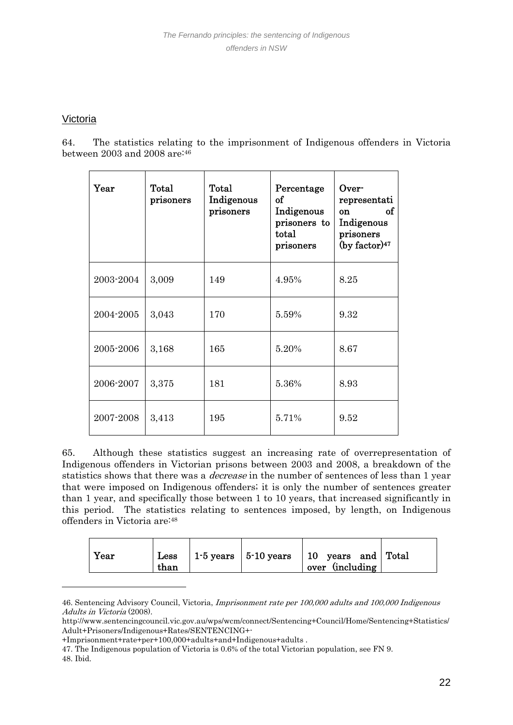## Victoria

64. The statistics relating to the imprisonment of Indigenous offenders in Victoria between 2003 and 2008 are:46

| $\operatorname*{Year}% \left( X\right) \equiv\operatorname*{Year}X$ | Total<br>prisoners | Total<br>Indigenous<br>prisoners | Percentage<br><sub>of</sub><br>Indigenous<br>prisoners to<br>total<br>prisoners | Over-<br>representati<br>оf<br>on<br>Indigenous<br>prisoners<br>(by factor) <sup>47</sup> |
|---------------------------------------------------------------------|--------------------|----------------------------------|---------------------------------------------------------------------------------|-------------------------------------------------------------------------------------------|
| 2003-2004                                                           | 3,009              | 149                              | 4.95%                                                                           | 8.25                                                                                      |
| 2004-2005                                                           | 3,043              | 170                              | 5.59%                                                                           | 9.32                                                                                      |
| 2005-2006                                                           | 3,168              | 165                              | 5.20%                                                                           | 8.67                                                                                      |
| 2006-2007                                                           | 3,375              | 181                              | 5.36%                                                                           | 8.93                                                                                      |
| 2007-2008                                                           | 3,413              | 195                              | 5.71%                                                                           | 9.52                                                                                      |

65. Although these statistics suggest an increasing rate of overrepresentation of Indigenous offenders in Victorian prisons between 2003 and 2008, a breakdown of the statistics shows that there was a *decrease* in the number of sentences of less than 1 year that were imposed on Indigenous offenders; it is only the number of sentences greater than 1 year, and specifically those between 1 to 10 years, that increased significantly in this period. The statistics relating to sentences imposed, by length, on Indigenous offenders in Victoria are:48

| Year | Less   1.5 years   5.10 years   10 years and Total |
|------|----------------------------------------------------|
| than | over (including)                                   |

<sup>46.</sup> Sentencing Advisory Council, Victoria, Imprisonment rate per 100,000 adults and 100,000 Indigenous Adults in Victoria (2008).

<u>.</u>

http://www.sentencingcouncil.vic.gov.au/wps/wcm/connect/Sentencing+Council/Home/Sentencing+Statistics/ Adult+Prisoners/Indigenous+Rates/SENTENCING+-

<sup>+</sup>Imprisonment+rate+per+100,000+adults+and+Indigenous+adults .

<sup>47.</sup> The Indigenous population of Victoria is 0.6% of the total Victorian population, see FN 9.

<sup>48.</sup> Ibid.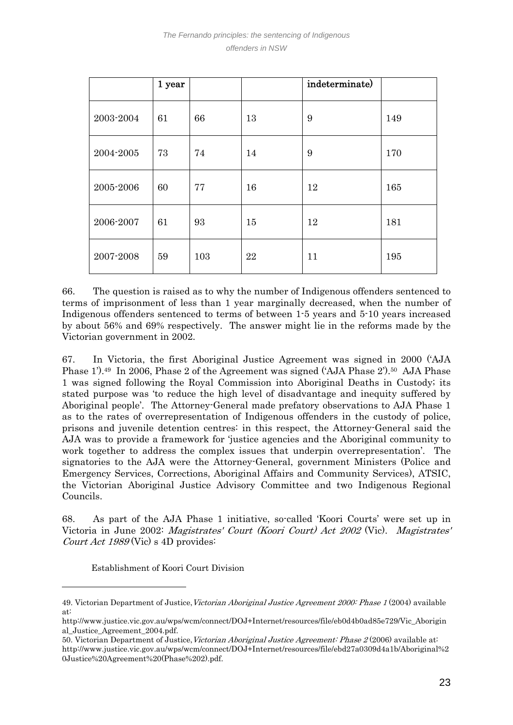*The Fernando principles: the sentencing of Indigenous offenders in NSW*

|           | 1 year |     |    | indeterminate) |     |
|-----------|--------|-----|----|----------------|-----|
| 2003-2004 | 61     | 66  | 13 | 9              | 149 |
| 2004-2005 | 73     | 74  | 14 | 9              | 170 |
| 2005-2006 | 60     | 77  | 16 | 12             | 165 |
| 2006-2007 | 61     | 93  | 15 | 12             | 181 |
| 2007-2008 | 59     | 103 | 22 | 11             | 195 |

66. The question is raised as to why the number of Indigenous offenders sentenced to terms of imprisonment of less than 1 year marginally decreased, when the number of Indigenous offenders sentenced to terms of between 1-5 years and 5-10 years increased by about 56% and 69% respectively. The answer might lie in the reforms made by the Victorian government in 2002.

67. In Victoria, the first Aboriginal Justice Agreement was signed in 2000 ('AJA Phase 1').<sup>49</sup> In 2006, Phase 2 of the Agreement was signed ('AJA Phase 2').<sup>50</sup> AJA Phase 1 was signed following the Royal Commission into Aboriginal Deaths in Custody; its stated purpose was 'to reduce the high level of disadvantage and inequity suffered by Aboriginal people'. The Attorney-General made prefatory observations to AJA Phase 1 as to the rates of overrepresentation of Indigenous offenders in the custody of police, prisons and juvenile detention centres: in this respect, the Attorney-General said the AJA was to provide a framework for 'justice agencies and the Aboriginal community to work together to address the complex issues that underpin overrepresentation'. The signatories to the AJA were the Attorney-General, government Ministers (Police and Emergency Services, Corrections, Aboriginal Affairs and Community Services), ATSIC, the Victorian Aboriginal Justice Advisory Committee and two Indigenous Regional Councils.

68. As part of the AJA Phase 1 initiative, so-called 'Koori Courts' were set up in Victoria in June 2002: Magistrates' Court (Koori Court) Act 2002 (Vic). Magistrates' Court Act 1989 (Vic) s 4D provides:

Establishment of Koori Court Division

<u>.</u>

<sup>49.</sup> Victorian Department of Justice, Victorian Aboriginal Justice Agreement 2000: Phase 1 (2004) available at:

http://www.justice.vic.gov.au/wps/wcm/connect/DOJ+Internet/resources/file/eb0d4b0ad85e729/Vic\_Aborigin al\_Justice\_Agreement\_2004.pdf.

<sup>50.</sup> Victorian Department of Justice, Victorian Aboriginal Justice Agreement: Phase 2 (2006) available at: http://www.justice.vic.gov.au/wps/wcm/connect/DOJ+Internet/resources/file/ebd27a0309d4a1b/Aboriginal%2 0Justice%20Agreement%20(Phase%202).pdf.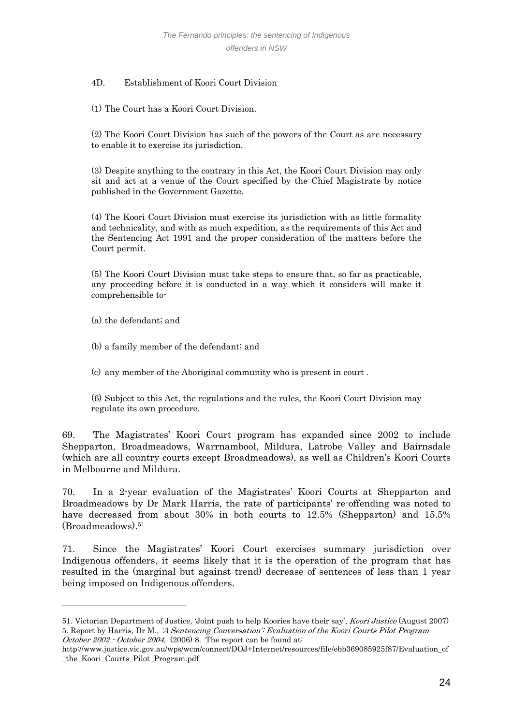#### 4D. Establishment of Koori Court Division

(1) The Court has a Koori Court Division.

(2) The Koori Court Division has such of the powers of the Court as are necessary to enable it to exercise its jurisdiction.

(3) Despite anything to the contrary in this Act, the Koori Court Division may only sit and act at a venue of the Court specified by the Chief Magistrate by notice published in the Government Gazette.

(4) The Koori Court Division must exercise its jurisdiction with as little formality and technicality, and with as much expedition, as the requirements of this Act and the Sentencing Act 1991 and the proper consideration of the matters before the Court permit.

(5) The Koori Court Division must take steps to ensure that, so far as practicable, any proceeding before it is conducted in a way which it considers will make it comprehensible to-

(a) the defendant; and

1

(b) a family member of the defendant; and

(c) any member of the Aboriginal community who is present in court .

(6) Subject to this Act, the regulations and the rules, the Koori Court Division may regulate its own procedure.

69. The Magistrates' Koori Court program has expanded since 2002 to include Shepparton, Broadmeadows, Warrnambool, Mildura, Latrobe Valley and Bairnsdale (which are all country courts except Broadmeadows), as well as Children's Koori Courts in Melbourne and Mildura.

70. In a 2-year evaluation of the Magistrates' Koori Courts at Shepparton and Broadmeadows by Dr Mark Harris, the rate of participants' re-offending was noted to have decreased from about 30% in both courts to 12.5% (Shepparton) and 15.5% (Broadmeadows).51

71. Since the Magistrates' Koori Court exercises summary jurisdiction over Indigenous offenders, it seems likely that it is the operation of the program that has resulted in the (marginal but against trend) decrease of sentences of less than 1 year being imposed on Indigenous offenders.

<sup>51.</sup> Victorian Department of Justice, 'Joint push to help Koories have their say', Koori Justice (August 2007) 5. Report by Harris, Dr M., 'A Sentencing Conversation': Evaluation of the Koori Courts Pilot Program October 2002 - October 2004, (2006) 8. The report can be found at:

http://www.justice.vic.gov.au/wps/wcm/connect/DOJ+Internet/resources/file/ebb369085925f87/Evaluation\_of \_the\_Koori\_Courts\_Pilot\_Program.pdf.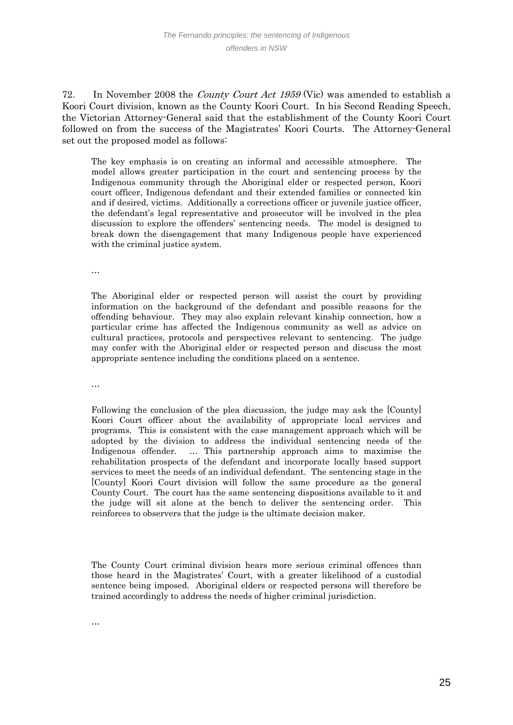72. In November 2008 the *County Court Act 1959* (Vic) was amended to establish a Koori Court division, known as the County Koori Court. In his Second Reading Speech, the Victorian Attorney-General said that the establishment of the County Koori Court followed on from the success of the Magistrates' Koori Courts. The Attorney-General set out the proposed model as follows:

The key emphasis is on creating an informal and accessible atmosphere. The model allows greater participation in the court and sentencing process by the Indigenous community through the Aboriginal elder or respected person, Koori court officer, Indigenous defendant and their extended families or connected kin and if desired, victims. Additionally a corrections officer or juvenile justice officer, the defendant's legal representative and prosecutor will be involved in the plea discussion to explore the offenders' sentencing needs. The model is designed to break down the disengagement that many Indigenous people have experienced with the criminal justice system.

…

The Aboriginal elder or respected person will assist the court by providing information on the background of the defendant and possible reasons for the offending behaviour. They may also explain relevant kinship connection, how a particular crime has affected the Indigenous community as well as advice on cultural practices, protocols and perspectives relevant to sentencing. The judge may confer with the Aboriginal elder or respected person and discuss the most appropriate sentence including the conditions placed on a sentence.

…

Following the conclusion of the plea discussion, the judge may ask the [County] Koori Court officer about the availability of appropriate local services and programs. This is consistent with the case management approach which will be adopted by the division to address the individual sentencing needs of the Indigenous offender. … This partnership approach aims to maximise the rehabilitation prospects of the defendant and incorporate locally based support services to meet the needs of an individual defendant. The sentencing stage in the [County] Koori Court division will follow the same procedure as the general County Court. The court has the same sentencing dispositions available to it and the judge will sit alone at the bench to deliver the sentencing order. This reinforces to observers that the judge is the ultimate decision maker.

The County Court criminal division hears more serious criminal offences than those heard in the Magistrates' Court, with a greater likelihood of a custodial sentence being imposed. Aboriginal elders or respected persons will therefore be trained accordingly to address the needs of higher criminal jurisdiction.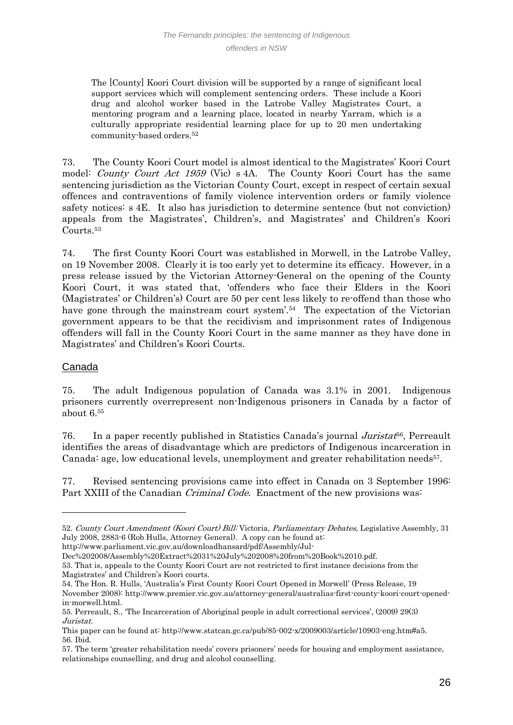The [County] Koori Court division will be supported by a range of significant local support services which will complement sentencing orders. These include a Koori drug and alcohol worker based in the Latrobe Valley Magistrates Court, a mentoring program and a learning place, located in nearby Yarram, which is a culturally appropriate residential learning place for up to 20 men undertaking community-based orders.52

73. The County Koori Court model is almost identical to the Magistrates' Koori Court model: *County Court Act 1959* (Vic) s 4A. The County Koori Court has the same sentencing jurisdiction as the Victorian County Court, except in respect of certain sexual offences and contraventions of family violence intervention orders or family violence safety notices: s 4E. It also has jurisdiction to determine sentence (but not conviction) appeals from the Magistrates', Children's, and Magistrates' and Children's Koori Courts.53

74. The first County Koori Court was established in Morwell, in the Latrobe Valley, on 19 November 2008. Clearly it is too early yet to determine its efficacy. However, in a press release issued by the Victorian Attorney-General on the opening of the County Koori Court, it was stated that, 'offenders who face their Elders in the Koori (Magistrates' or Children's) Court are 50 per cent less likely to re-offend than those who have gone through the mainstream court system'.<sup>54</sup> The expectation of the Victorian government appears to be that the recidivism and imprisonment rates of Indigenous offenders will fall in the County Koori Court in the same manner as they have done in Magistrates' and Children's Koori Courts.

## Canada

1

75. The adult Indigenous population of Canada was 3.1% in 2001. Indigenous prisoners currently overrepresent non-Indigenous prisoners in Canada by a factor of about 6.55

76. In a paper recently published in Statistics Canada's journal Juristat<sup>66</sup>, Perreault identifies the areas of disadvantage which are predictors of Indigenous incarceration in Canada: age, low educational levels, unemployment and greater rehabilitation needs<sup>57</sup>.

77. Revised sentencing provisions came into effect in Canada on 3 September 1996: Part XXIII of the Canadian *Criminal Code*. Enactment of the new provisions was:

<sup>52.</sup> County Court Amendment (Koori Court) Bill: Victoria, Parliamentary Debates, Legislative Assembly, 31 July 2008, 2883-6 (Rob Hulls, Attorney General). A copy can be found at:

http://www.parliament.vic.gov.au/downloadhansard/pdf/Assembly/Jul-

Dec%202008/Assembly%20Extract%2031%20July%202008%20from%20Book%2010.pdf.

<sup>53.</sup> That is, appeals to the County Koori Court are not restricted to first instance decisions from the Magistrates' and Children's Koori courts.

<sup>54.</sup> The Hon. R. Hulls, 'Australia's First County Koori Court Opened in Morwell' (Press Release, 19 November 2008): http://www.premier.vic.gov.au/attorney-general/australias-first-county-koori-court-openedin-morwell.html.

<sup>55.</sup> Perreault, S., 'The Incarceration of Aboriginal people in adult correctional services', (2009) 29(3) Juristat.

This paper can be found at: http://www.statcan.gc.ca/pub/85-002-x/2009003/article/10903-eng.htm#a5. 56. Ibid.

<sup>57.</sup> The term 'greater rehabilitation needs' covers prisoners' needs for housing and employment assistance, relationships counselling, and drug and alcohol counselling.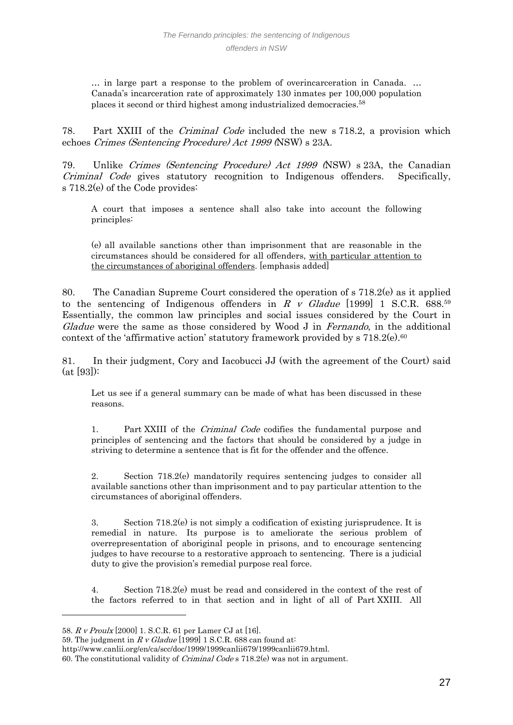… in large part a response to the problem of overincarceration in Canada. … Canada's incarceration rate of approximately 130 inmates per 100,000 population places it second or third highest among industrialized democracies.58

78. Part XXIII of the Criminal Code included the new s 718.2, a provision which echoes Crimes (Sentencing Procedure) Act 1999 (NSW) s 23A.

79. Unlike Crimes (Sentencing Procedure) Act 1999 (NSW) s 23A, the Canadian Criminal Code gives statutory recognition to Indigenous offenders. Specifically, s 718.2(e) of the Code provides:

A court that imposes a sentence shall also take into account the following principles:

(e) all available sanctions other than imprisonment that are reasonable in the circumstances should be considered for all offenders, with particular attention to the circumstances of aboriginal offenders. [emphasis added]

80. The Canadian Supreme Court considered the operation of s 718.2(e) as it applied to the sentencing of Indigenous offenders in R v Gladue [1999] 1 S.C.R. 688.<sup>59</sup> Essentially, the common law principles and social issues considered by the Court in Gladue were the same as those considered by Wood J in Fernando, in the additional context of the 'affirmative action' statutory framework provided by s  $718.2(e).$ <sup>60</sup>

81. In their judgment, Cory and Iacobucci JJ (with the agreement of the Court) said (at [93]):

Let us see if a general summary can be made of what has been discussed in these reasons.

1. Part XXIII of the *Criminal Code* codifies the fundamental purpose and principles of sentencing and the factors that should be considered by a judge in striving to determine a sentence that is fit for the offender and the offence.

2. Section 718.2(e) mandatorily requires sentencing judges to consider all available sanctions other than imprisonment and to pay particular attention to the circumstances of aboriginal offenders.

3. Section 718.2(e) is not simply a codification of existing jurisprudence. It is remedial in nature. Its purpose is to ameliorate the serious problem of overrepresentation of aboriginal people in prisons, and to encourage sentencing judges to have recourse to a restorative approach to sentencing. There is a judicial duty to give the provision's remedial purpose real force.

4. Section 718.2(e) must be read and considered in the context of the rest of the factors referred to in that section and in light of all of Part XXIII. All

<sup>58.</sup> R v Proulx [2000] 1. S.C.R. 61 per Lamer CJ at [16].

<sup>59.</sup> The judgment in  $R$  v Gladue [1999] 1 S.C.R. 688 can found at:

http://www.canlii.org/en/ca/scc/doc/1999/1999canlii679/1999canlii679.html.

<sup>60.</sup> The constitutional validity of Criminal Code s 718.2(e) was not in argument.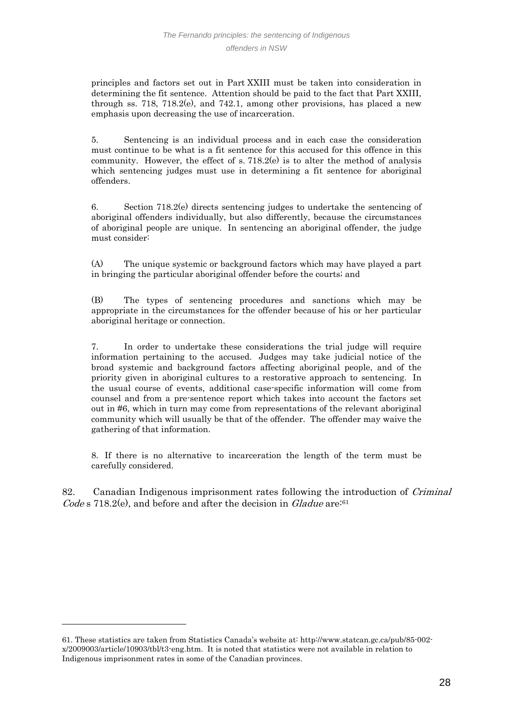principles and factors set out in Part XXIII must be taken into consideration in determining the fit sentence. Attention should be paid to the fact that Part XXIII, through ss. 718, 718.2(e), and 742.1, among other provisions, has placed a new emphasis upon decreasing the use of incarceration.

5. Sentencing is an individual process and in each case the consideration must continue to be what is a fit sentence for this accused for this offence in this community. However, the effect of s. 718.2(e) is to alter the method of analysis which sentencing judges must use in determining a fit sentence for aboriginal offenders.

6. Section 718.2(e) directs sentencing judges to undertake the sentencing of aboriginal offenders individually, but also differently, because the circumstances of aboriginal people are unique. In sentencing an aboriginal offender, the judge must consider:

(A) The unique systemic or background factors which may have played a part in bringing the particular aboriginal offender before the courts; and

(B) The types of sentencing procedures and sanctions which may be appropriate in the circumstances for the offender because of his or her particular aboriginal heritage or connection.

7. In order to undertake these considerations the trial judge will require information pertaining to the accused. Judges may take judicial notice of the broad systemic and background factors affecting aboriginal people, and of the priority given in aboriginal cultures to a restorative approach to sentencing. In the usual course of events, additional case-specific information will come from counsel and from a pre-sentence report which takes into account the factors set out in #6, which in turn may come from representations of the relevant aboriginal community which will usually be that of the offender. The offender may waive the gathering of that information.

8. If there is no alternative to incarceration the length of the term must be carefully considered.

82. Canadian Indigenous imprisonment rates following the introduction of *Criminal* Code s  $718.2$ (e), and before and after the decision in Gladue are:<sup>61</sup>

<sup>61.</sup> These statistics are taken from Statistics Canada's website at: http://www.statcan.gc.ca/pub/85-002 x/2009003/article/10903/tbl/t3-eng.htm. It is noted that statistics were not available in relation to Indigenous imprisonment rates in some of the Canadian provinces.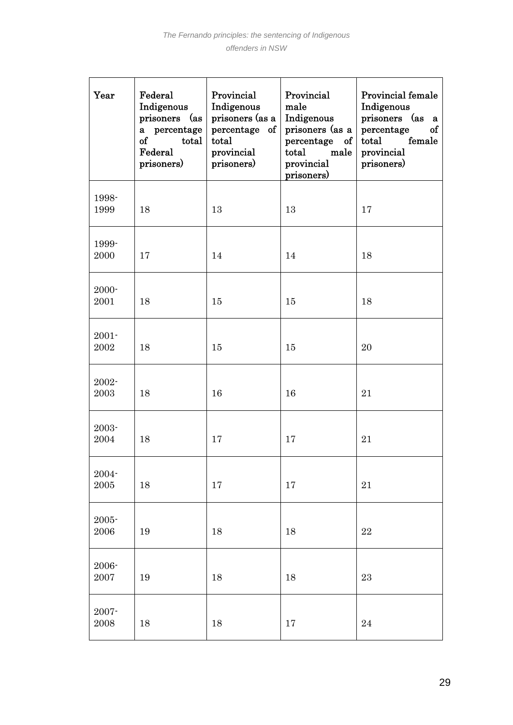| Year             | Federal<br>Indigenous<br>prisoners (as<br>a percentage<br>$\mathrm{of}$<br>$_{\rm total}$<br>Federal<br>prisoners) | Provincial<br>Indigenous<br>prisoners (as $a \mid$<br>percentage of<br>total<br>provincial<br>prisoners) | Provincial<br>male<br>Indigenous<br>prisoners (as a<br>percentage<br>of  <br>total<br>male<br>provincial<br>prisoners) | Provincial female<br>Indigenous<br>prisoners (as a<br>percentage<br>of<br>female<br>total<br>provincial<br>prisoners) |
|------------------|--------------------------------------------------------------------------------------------------------------------|----------------------------------------------------------------------------------------------------------|------------------------------------------------------------------------------------------------------------------------|-----------------------------------------------------------------------------------------------------------------------|
| 1998-<br>1999    | 18                                                                                                                 | 13                                                                                                       | 13                                                                                                                     | 17                                                                                                                    |
| 1999-<br>2000    | 17                                                                                                                 | 14                                                                                                       | 14                                                                                                                     | 18                                                                                                                    |
| 2000-<br>2001    | 18                                                                                                                 | 15                                                                                                       | 15                                                                                                                     | 18                                                                                                                    |
| $2001 -$<br>2002 | 18                                                                                                                 | 15                                                                                                       | 15                                                                                                                     | 20                                                                                                                    |
| 2002-<br>2003    | 18                                                                                                                 | 16                                                                                                       | 16                                                                                                                     | 21                                                                                                                    |
| 2003-<br>2004    | 18                                                                                                                 | 17                                                                                                       | 17                                                                                                                     | 21                                                                                                                    |
| 2004-<br>2005    | 18                                                                                                                 | 17                                                                                                       | 17                                                                                                                     | 21                                                                                                                    |
| 2005-<br>2006    | 19                                                                                                                 | 18                                                                                                       | 18                                                                                                                     | $\bf 22$                                                                                                              |
| 2006-<br>2007    | 19                                                                                                                 | 18                                                                                                       | 18                                                                                                                     | 23                                                                                                                    |
| 2007-<br>2008    | 18                                                                                                                 | 18                                                                                                       | 17                                                                                                                     | 24                                                                                                                    |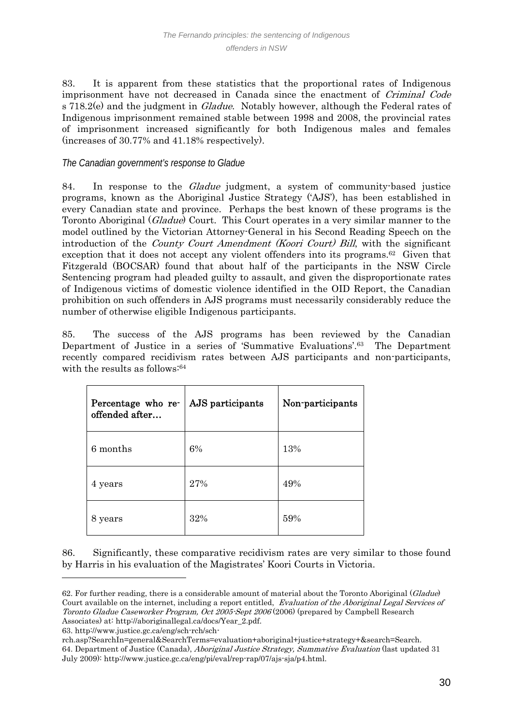83. It is apparent from these statistics that the proportional rates of Indigenous imprisonment have not decreased in Canada since the enactment of Criminal Code s 718.2(e) and the judgment in Gladue. Notably however, although the Federal rates of Indigenous imprisonment remained stable between 1998 and 2008, the provincial rates of imprisonment increased significantly for both Indigenous males and females (increases of 30.77% and 41.18% respectively).

### *The Canadian government's response to Gladue*

84. In response to the *Gladue* judgment, a system of community-based justice programs, known as the Aboriginal Justice Strategy ('AJS'), has been established in every Canadian state and province. Perhaps the best known of these programs is the Toronto Aboriginal (Gladue) Court. This Court operates in a very similar manner to the model outlined by the Victorian Attorney-General in his Second Reading Speech on the introduction of the County Court Amendment (Koori Court) Bill, with the significant exception that it does not accept any violent offenders into its programs.<sup>62</sup> Given that Fitzgerald (BOCSAR) found that about half of the participants in the NSW Circle Sentencing program had pleaded guilty to assault, and given the disproportionate rates of Indigenous victims of domestic violence identified in the OID Report, the Canadian prohibition on such offenders in AJS programs must necessarily considerably reduce the number of otherwise eligible Indigenous participants.

85. The success of the AJS programs has been reviewed by the Canadian Department of Justice in a series of 'Summative Evaluations'.63 The Department recently compared recidivism rates between AJS participants and non-participants, with the results as follows: 64

| Percentage who re-<br>offended after | AJS participants | Non-participants |
|--------------------------------------|------------------|------------------|
| 6 months                             | 6%               | 13%              |
| 4 years                              | 27%              | 49%              |
| 8 years                              | 32%              | 59%              |

86. Significantly, these comparative recidivism rates are very similar to those found by Harris in his evaluation of the Magistrates' Koori Courts in Victoria.

63. http://www.justice.gc.ca/eng/sch-rch/sch-

1

rch.asp?SearchIn=general&SearchTerms=evaluation+aboriginal+justice+strategy+&search=Search. 64. Department of Justice (Canada), Aboriginal Justice Strategy, Summative Evaluation (last updated 31

July 2009): http://www.justice.gc.ca/eng/pi/eval/rep-rap/07/ajs-sja/p4.html.

<sup>62.</sup> For further reading, there is a considerable amount of material about the Toronto Aboriginal (Gladue) Court available on the internet, including a report entitled, Evaluation of the Aboriginal Legal Services of Toronto Gladue Caseworker Program, Oct 2005-Sept 2006 (2006) (prepared by Campbell Research Associates) at: http://aboriginallegal.ca/docs/Year\_2.pdf.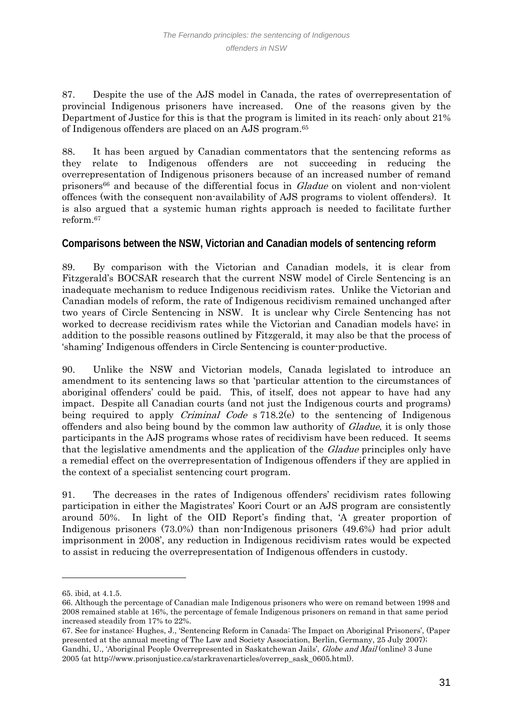87. Despite the use of the AJS model in Canada, the rates of overrepresentation of provincial Indigenous prisoners have increased. One of the reasons given by the Department of Justice for this is that the program is limited in its reach: only about 21% of Indigenous offenders are placed on an AJS program.65

88. It has been argued by Canadian commentators that the sentencing reforms as they relate to Indigenous offenders are not succeeding in reducing the overrepresentation of Indigenous prisoners because of an increased number of remand prisoners<sup>66</sup> and because of the differential focus in  $Gladue$  on violent and non-violent offences (with the consequent non-availability of AJS programs to violent offenders). It is also argued that a systemic human rights approach is needed to facilitate further reform.67

## **Comparisons between the NSW, Victorian and Canadian models of sentencing reform**

89. By comparison with the Victorian and Canadian models, it is clear from Fitzgerald's BOCSAR research that the current NSW model of Circle Sentencing is an inadequate mechanism to reduce Indigenous recidivism rates. Unlike the Victorian and Canadian models of reform, the rate of Indigenous recidivism remained unchanged after two years of Circle Sentencing in NSW. It is unclear why Circle Sentencing has not worked to decrease recidivism rates while the Victorian and Canadian models have; in addition to the possible reasons outlined by Fitzgerald, it may also be that the process of 'shaming' Indigenous offenders in Circle Sentencing is counter-productive.

90. Unlike the NSW and Victorian models, Canada legislated to introduce an amendment to its sentencing laws so that 'particular attention to the circumstances of aboriginal offenders' could be paid. This, of itself, does not appear to have had any impact. Despite all Canadian courts (and not just the Indigenous courts and programs) being required to apply *Criminal Code* s 718.2(e) to the sentencing of Indigenous offenders and also being bound by the common law authority of Gladue, it is only those participants in the AJS programs whose rates of recidivism have been reduced. It seems that the legislative amendments and the application of the *Gladue* principles only have a remedial effect on the overrepresentation of Indigenous offenders if they are applied in the context of a specialist sentencing court program.

91. The decreases in the rates of Indigenous offenders' recidivism rates following participation in either the Magistrates' Koori Court or an AJS program are consistently around 50%. In light of the OID Report's finding that, 'A greater proportion of Indigenous prisoners (73.0%) than non-Indigenous prisoners (49.6%) had prior adult imprisonment in 2008', any reduction in Indigenous recidivism rates would be expected to assist in reducing the overrepresentation of Indigenous offenders in custody.

<sup>65.</sup> ibid, at 4.1.5.

<sup>66.</sup> Although the percentage of Canadian male Indigenous prisoners who were on remand between 1998 and 2008 remained stable at 16%, the percentage of female Indigenous prisoners on remand in that same period increased steadily from 17% to 22%.

<sup>67.</sup> See for instance: Hughes, J., 'Sentencing Reform in Canada: The Impact on Aboriginal Prisoners', (Paper presented at the annual meeting of The Law and Society Association, Berlin, Germany, 25 July 2007);

Gandhi, U., 'Aboriginal People Overrepresented in Saskatchewan Jails', *Globe and Mail* (online) 3 June 2005 (at http://www.prisonjustice.ca/starkravenarticles/overrep\_sask\_0605.html).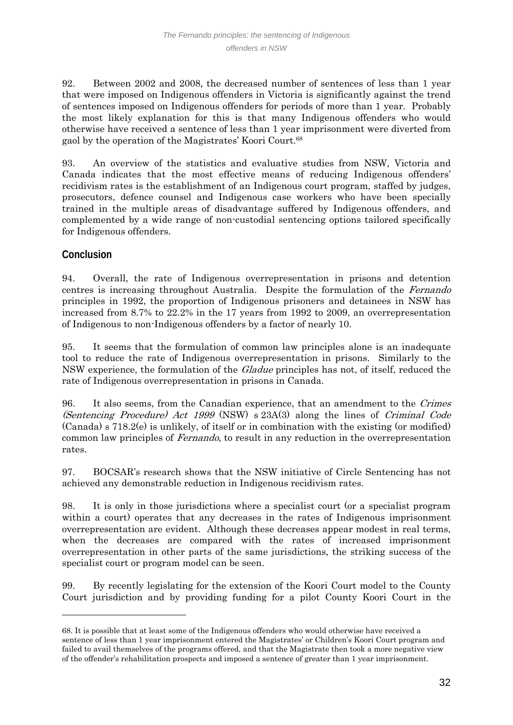92. Between 2002 and 2008, the decreased number of sentences of less than 1 year that were imposed on Indigenous offenders in Victoria is significantly against the trend of sentences imposed on Indigenous offenders for periods of more than 1 year. Probably the most likely explanation for this is that many Indigenous offenders who would otherwise have received a sentence of less than 1 year imprisonment were diverted from gaol by the operation of the Magistrates' Koori Court.68

93. An overview of the statistics and evaluative studies from NSW, Victoria and Canada indicates that the most effective means of reducing Indigenous offenders' recidivism rates is the establishment of an Indigenous court program, staffed by judges, prosecutors, defence counsel and Indigenous case workers who have been specially trained in the multiple areas of disadvantage suffered by Indigenous offenders, and complemented by a wide range of non-custodial sentencing options tailored specifically for Indigenous offenders.

## **Conclusion**

1

94. Overall, the rate of Indigenous overrepresentation in prisons and detention centres is increasing throughout Australia. Despite the formulation of the Fernando principles in 1992, the proportion of Indigenous prisoners and detainees in NSW has increased from 8.7% to 22.2% in the 17 years from 1992 to 2009, an overrepresentation of Indigenous to non-Indigenous offenders by a factor of nearly 10.

95. It seems that the formulation of common law principles alone is an inadequate tool to reduce the rate of Indigenous overrepresentation in prisons. Similarly to the NSW experience, the formulation of the Gladue principles has not, of itself, reduced the rate of Indigenous overrepresentation in prisons in Canada.

96. It also seems, from the Canadian experience, that an amendment to the Crimes (Sentencing Procedure) Act 1999 (NSW) s 23A(3) along the lines of Criminal Code (Canada) s 718.2(e) is unlikely, of itself or in combination with the existing (or modified) common law principles of Fernando, to result in any reduction in the overrepresentation rates.

97. BOCSAR's research shows that the NSW initiative of Circle Sentencing has not achieved any demonstrable reduction in Indigenous recidivism rates.

98. It is only in those jurisdictions where a specialist court (or a specialist program within a court) operates that any decreases in the rates of Indigenous imprisonment overrepresentation are evident. Although these decreases appear modest in real terms, when the decreases are compared with the rates of increased imprisonment overrepresentation in other parts of the same jurisdictions, the striking success of the specialist court or program model can be seen.

99. By recently legislating for the extension of the Koori Court model to the County Court jurisdiction and by providing funding for a pilot County Koori Court in the

<sup>68.</sup> It is possible that at least some of the Indigenous offenders who would otherwise have received a sentence of less than 1 year imprisonment entered the Magistrates' or Children's Koori Court program and failed to avail themselves of the programs offered, and that the Magistrate then took a more negative view of the offender's rehabilitation prospects and imposed a sentence of greater than 1 year imprisonment.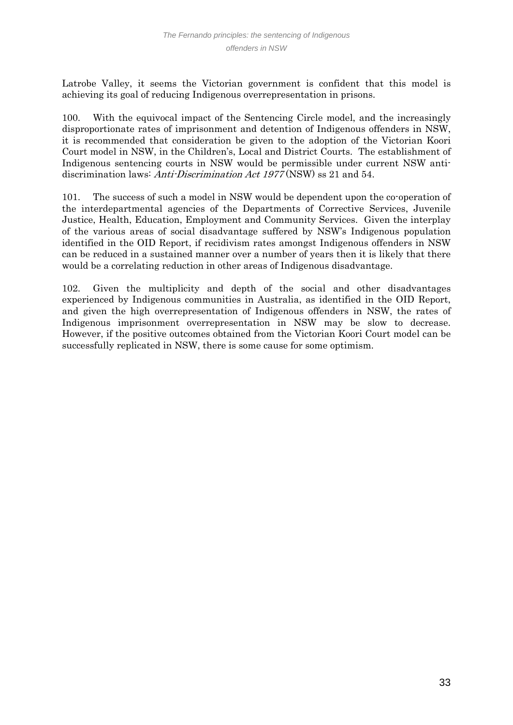Latrobe Valley, it seems the Victorian government is confident that this model is achieving its goal of reducing Indigenous overrepresentation in prisons.

100. With the equivocal impact of the Sentencing Circle model, and the increasingly disproportionate rates of imprisonment and detention of Indigenous offenders in NSW, it is recommended that consideration be given to the adoption of the Victorian Koori Court model in NSW, in the Children's, Local and District Courts. The establishment of Indigenous sentencing courts in NSW would be permissible under current NSW antidiscrimination laws: Anti-Discrimination Act 1977 (NSW) ss 21 and 54.

101. The success of such a model in NSW would be dependent upon the co-operation of the interdepartmental agencies of the Departments of Corrective Services, Juvenile Justice, Health, Education, Employment and Community Services. Given the interplay of the various areas of social disadvantage suffered by NSW's Indigenous population identified in the OID Report, if recidivism rates amongst Indigenous offenders in NSW can be reduced in a sustained manner over a number of years then it is likely that there would be a correlating reduction in other areas of Indigenous disadvantage.

102. Given the multiplicity and depth of the social and other disadvantages experienced by Indigenous communities in Australia, as identified in the OID Report, and given the high overrepresentation of Indigenous offenders in NSW, the rates of Indigenous imprisonment overrepresentation in NSW may be slow to decrease. However, if the positive outcomes obtained from the Victorian Koori Court model can be successfully replicated in NSW, there is some cause for some optimism.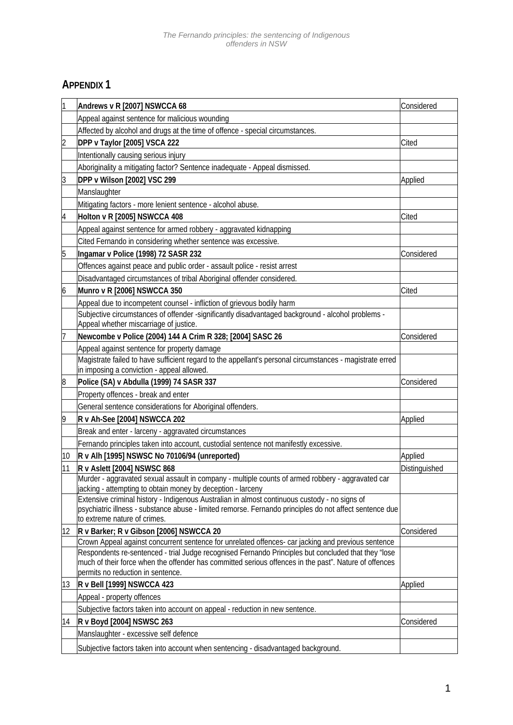## **APPENDIX 1**

| 1              | Andrews v R [2007] NSWCCA 68                                                                                                                                                                                                                      | Considered    |
|----------------|---------------------------------------------------------------------------------------------------------------------------------------------------------------------------------------------------------------------------------------------------|---------------|
|                | Appeal against sentence for malicious wounding                                                                                                                                                                                                    |               |
|                | Affected by alcohol and drugs at the time of offence - special circumstances.                                                                                                                                                                     |               |
| $\overline{2}$ | DPP v Taylor [2005] VSCA 222                                                                                                                                                                                                                      | Cited         |
|                | Intentionally causing serious injury                                                                                                                                                                                                              |               |
|                | Aboriginality a mitigating factor? Sentence inadequate - Appeal dismissed.                                                                                                                                                                        |               |
| 3              | DPP v Wilson [2002] VSC 299                                                                                                                                                                                                                       | Applied       |
|                | Manslaughter                                                                                                                                                                                                                                      |               |
|                | Mitigating factors - more lenient sentence - alcohol abuse.                                                                                                                                                                                       |               |
| 4              | Holton v R [2005] NSWCCA 408                                                                                                                                                                                                                      | Cited         |
|                | Appeal against sentence for armed robbery - aggravated kidnapping                                                                                                                                                                                 |               |
|                | Cited Fernando in considering whether sentence was excessive.                                                                                                                                                                                     |               |
| 5              | Ingamar v Police (1998) 72 SASR 232                                                                                                                                                                                                               | Considered    |
|                | Offences against peace and public order - assault police - resist arrest                                                                                                                                                                          |               |
|                | Disadvantaged circumstances of tribal Aboriginal offender considered.                                                                                                                                                                             |               |
| 6              | Munro v R [2006] NSWCCA 350                                                                                                                                                                                                                       | Cited         |
|                | Appeal due to incompetent counsel - infliction of grievous bodily harm                                                                                                                                                                            |               |
|                | Subjective circumstances of offender -significantly disadvantaged background - alcohol problems -<br>Appeal whether miscarriage of justice.                                                                                                       |               |
| 7              | Newcombe v Police (2004) 144 A Crim R 328; [2004] SASC 26                                                                                                                                                                                         | Considered    |
|                | Appeal against sentence for property damage                                                                                                                                                                                                       |               |
|                | Magistrate failed to have sufficient regard to the appellant's personal circumstances - magistrate erred<br>in imposing a conviction - appeal allowed.                                                                                            |               |
| 8              | Police (SA) v Abdulla (1999) 74 SASR 337                                                                                                                                                                                                          | Considered    |
|                | Property offences - break and enter                                                                                                                                                                                                               |               |
|                | General sentence considerations for Aboriginal offenders.                                                                                                                                                                                         |               |
| 9              | R v Ah-See [2004] NSWCCA 202                                                                                                                                                                                                                      | Applied       |
|                | Break and enter - larceny - aggravated circumstances                                                                                                                                                                                              |               |
|                | Fernando principles taken into account, custodial sentence not manifestly excessive.                                                                                                                                                              |               |
| 10             | R v Alh [1995] NSWSC No 70106/94 (unreported)                                                                                                                                                                                                     | Applied       |
| 11             | R v Aslett [2004] NSWSC 868                                                                                                                                                                                                                       | Distinguished |
|                | Murder - aggravated sexual assault in company - multiple counts of armed robbery - aggravated car<br>jacking - attempting to obtain money by deception - larceny                                                                                  |               |
|                | Extensive criminal history - Indigenous Australian in almost continuous custody - no signs of<br>psychiatric illness - substance abuse - limited remorse. Fernando principles do not affect sentence due<br>to extreme nature of crimes.          |               |
| 12             | R v Barker; R v Gibson [2006] NSWCCA 20                                                                                                                                                                                                           | Considered    |
|                | Crown Appeal against concurrent sentence for unrelated offences- car jacking and previous sentence                                                                                                                                                |               |
|                | Respondents re-sentenced - trial Judge recognised Fernando Principles but concluded that they "lose<br>much of their force when the offender has committed serious offences in the past". Nature of offences<br>permits no reduction in sentence. |               |
| 13             | R v Bell [1999] NSWCCA 423                                                                                                                                                                                                                        | Applied       |
|                | Appeal - property offences                                                                                                                                                                                                                        |               |
|                | Subjective factors taken into account on appeal - reduction in new sentence.                                                                                                                                                                      |               |
| 14             | R v Boyd [2004] NSWSC 263                                                                                                                                                                                                                         | Considered    |
|                | Manslaughter - excessive self defence                                                                                                                                                                                                             |               |
|                | Subjective factors taken into account when sentencing - disadvantaged background.                                                                                                                                                                 |               |
|                |                                                                                                                                                                                                                                                   |               |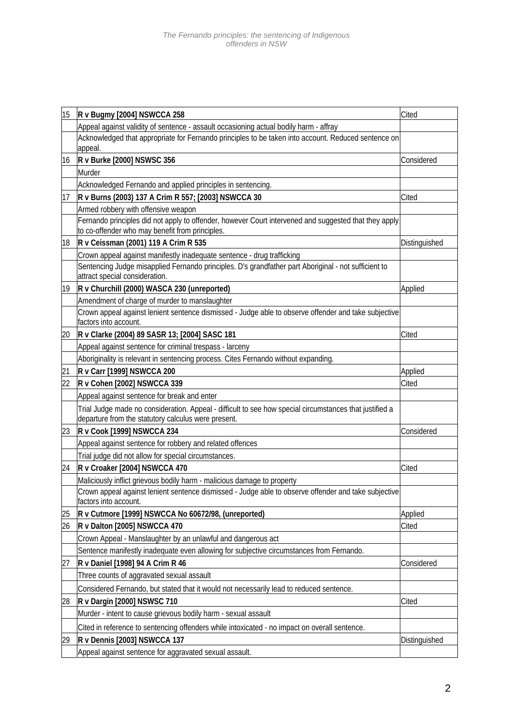| 15 | R v Bugmy [2004] NSWCCA 258                                                                                                                                    | Cited         |
|----|----------------------------------------------------------------------------------------------------------------------------------------------------------------|---------------|
|    | Appeal against validity of sentence - assault occasioning actual bodily harm - affray                                                                          |               |
|    | Acknowledged that appropriate for Fernando principles to be taken into account. Reduced sentence on<br>appeal.                                                 |               |
| 16 | R v Burke [2000] NSWSC 356                                                                                                                                     | Considered    |
|    | Murder                                                                                                                                                         |               |
|    | Acknowledged Fernando and applied principles in sentencing.                                                                                                    |               |
| 17 | R v Burns (2003) 137 A Crim R 557; [2003] NSWCCA 30                                                                                                            | Cited         |
|    | Armed robbery with offensive weapon                                                                                                                            |               |
|    | Fernando principles did not apply to offender, however Court intervened and suggested that they apply<br>to co-offender who may benefit from principles.       |               |
| 18 | R v Ceissman (2001) 119 A Crim R 535                                                                                                                           | Distinguished |
|    | Crown appeal against manifestly inadequate sentence - drug trafficking                                                                                         |               |
|    | Sentencing Judge misapplied Fernando principles. D's grandfather part Aboriginal - not sufficient to<br>attract special consideration.                         |               |
| 19 | R v Churchill (2000) WASCA 230 (unreported)                                                                                                                    | Applied       |
|    | Amendment of charge of murder to manslaughter                                                                                                                  |               |
|    | Crown appeal against lenient sentence dismissed - Judge able to observe offender and take subjective<br>factors into account.                                  |               |
| 20 | R v Clarke (2004) 89 SASR 13; [2004] SASC 181                                                                                                                  | Cited         |
|    | Appeal against sentence for criminal trespass - larceny                                                                                                        |               |
|    | Aboriginality is relevant in sentencing process. Cites Fernando without expanding.                                                                             |               |
| 21 | R v Carr [1999] NSWCCA 200                                                                                                                                     | Applied       |
| 22 | R v Cohen [2002] NSWCCA 339                                                                                                                                    | Cited         |
|    | Appeal against sentence for break and enter                                                                                                                    |               |
|    | Trial Judge made no consideration. Appeal - difficult to see how special circumstances that justified a<br>departure from the statutory calculus were present. |               |
| 23 | R v Cook [1999] NSWCCA 234                                                                                                                                     | Considered    |
|    | Appeal against sentence for robbery and related offences                                                                                                       |               |
|    | Trial judge did not allow for special circumstances.                                                                                                           |               |
| 24 | R v Croaker [2004] NSWCCA 470                                                                                                                                  | Cited         |
|    | Maliciously inflict grievous bodily harm - malicious damage to property                                                                                        |               |
|    | Crown appeal against lenient sentence dismissed - Judge able to observe offender and take subjective<br>factors into account.                                  |               |
| 25 | R v Cutmore [1999] NSWCCA No 60672/98, (unreported)                                                                                                            | Applied       |
| 26 | R v Dalton [2005] NSWCCA 470                                                                                                                                   | Cited         |
|    | Crown Appeal - Manslaughter by an unlawful and dangerous act                                                                                                   |               |
|    | Sentence manifestly inadequate even allowing for subjective circumstances from Fernando.                                                                       |               |
| 27 | R v Daniel [1998] 94 A Crim R 46                                                                                                                               | Considered    |
|    | Three counts of aggravated sexual assault                                                                                                                      |               |
|    | Considered Fernando, but stated that it would not necessarily lead to reduced sentence.                                                                        |               |
| 28 | R v Dargin [2000] NSWSC 710                                                                                                                                    | Cited         |
|    | Murder - intent to cause grievous bodily harm - sexual assault                                                                                                 |               |
|    | Cited in reference to sentencing offenders while intoxicated - no impact on overall sentence.                                                                  |               |
| 29 | R v Dennis [2003] NSWCCA 137                                                                                                                                   | Distinguished |
|    | Appeal against sentence for aggravated sexual assault.                                                                                                         |               |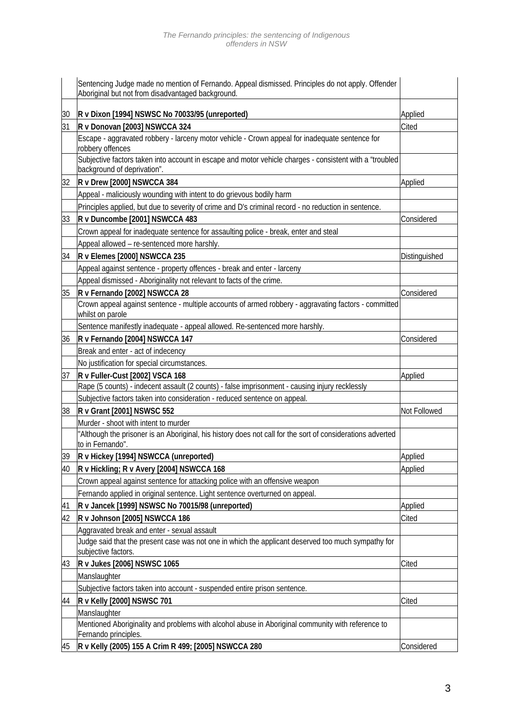|    | Sentencing Judge made no mention of Fernando. Appeal dismissed. Principles do not apply. Offender<br>Aboriginal but not from disadvantaged background. |               |
|----|--------------------------------------------------------------------------------------------------------------------------------------------------------|---------------|
| 30 | R v Dixon [1994] NSWSC No 70033/95 (unreported)                                                                                                        | Applied       |
| 31 | R v Donovan [2003] NSWCCA 324                                                                                                                          | Cited         |
|    | Escape - aggravated robbery - larceny motor vehicle - Crown appeal for inadequate sentence for<br>robbery offences                                     |               |
|    | Subjective factors taken into account in escape and motor vehicle charges - consistent with a "troubled<br>background of deprivation".                 |               |
| 32 | R v Drew [2000] NSWCCA 384                                                                                                                             | Applied       |
|    | Appeal - maliciously wounding with intent to do grievous bodily harm                                                                                   |               |
|    | Principles applied, but due to severity of crime and D's criminal record - no reduction in sentence.                                                   |               |
| 33 | R v Duncombe [2001] NSWCCA 483                                                                                                                         | Considered    |
|    | Crown appeal for inadequate sentence for assaulting police - break, enter and steal                                                                    |               |
|    | Appeal allowed - re-sentenced more harshly.                                                                                                            |               |
| 34 | R v Elemes [2000] NSWCCA 235                                                                                                                           | Distinguished |
|    | Appeal against sentence - property offences - break and enter - larceny                                                                                |               |
|    | Appeal dismissed - Aboriginality not relevant to facts of the crime.                                                                                   |               |
| 35 | R v Fernando [2002] NSWCCA 28                                                                                                                          | Considered    |
|    | Crown appeal against sentence - multiple accounts of armed robbery - aggravating factors - committed<br>whilst on parole                               |               |
|    | Sentence manifestly inadequate - appeal allowed. Re-sentenced more harshly.                                                                            |               |
| 36 | R v Fernando [2004] NSWCCA 147                                                                                                                         | Considered    |
|    | Break and enter - act of indecency                                                                                                                     |               |
|    | No justification for special circumstances.                                                                                                            |               |
| 37 | R v Fuller-Cust [2002] VSCA 168                                                                                                                        | Applied       |
|    | Rape (5 counts) - indecent assault (2 counts) - false imprisonment - causing injury recklessly                                                         |               |
|    | Subjective factors taken into consideration - reduced sentence on appeal.                                                                              |               |
| 38 | R v Grant [2001] NSWSC 552                                                                                                                             | Not Followed  |
|    | Murder - shoot with intent to murder                                                                                                                   |               |
|    | "Although the prisoner is an Aboriginal, his history does not call for the sort of considerations adverted<br>to in Fernando".                         |               |
| 39 | R v Hickey [1994] NSWCCA (unreported)                                                                                                                  | Applied       |
| 40 | R v Hickling; R v Avery [2004] NSWCCA 168                                                                                                              | Applied       |
|    | Crown appeal against sentence for attacking police with an offensive weapon                                                                            |               |
|    | Fernando applied in original sentence. Light sentence overturned on appeal.                                                                            |               |
| 41 | R v Jancek [1999] NSWSC No 70015/98 (unreported)                                                                                                       | Applied       |
| 42 | R v Johnson [2005] NSWCCA 186                                                                                                                          | Cited         |
|    | Aggravated break and enter - sexual assault                                                                                                            |               |
|    | Judge said that the present case was not one in which the applicant deserved too much sympathy for<br>subjective factors.                              |               |
| 43 | R v Jukes [2006] NSWSC 1065                                                                                                                            | Cited         |
|    | Manslaughter                                                                                                                                           |               |
|    | Subjective factors taken into account - suspended entire prison sentence.                                                                              |               |
| 44 | R v Kelly [2000] NSWSC 701                                                                                                                             | Cited         |
|    | Manslaughter                                                                                                                                           |               |
|    | Mentioned Aboriginality and problems with alcohol abuse in Aboriginal community with reference to<br>Fernando principles.                              |               |
| 45 | R v Kelly (2005) 155 A Crim R 499; [2005] NSWCCA 280                                                                                                   | Considered    |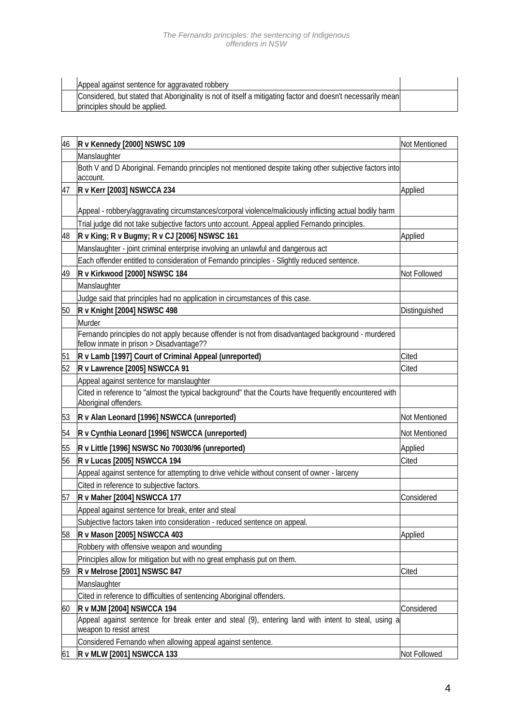| Appeal against sentence for aggravated robbery                                                                                               |  |
|----------------------------------------------------------------------------------------------------------------------------------------------|--|
| Considered, but stated that Aboriginality is not of itself a mitigating factor and doesn't necessarily mean<br>principles should be applied. |  |

| 46 | R v Kennedy [2000] NSWSC 109                                                                                                                  | Not Mentioned |
|----|-----------------------------------------------------------------------------------------------------------------------------------------------|---------------|
|    | Manslaughter                                                                                                                                  |               |
|    | Both V and D Aboriginal. Fernando principles not mentioned despite taking other subjective factors into<br>account.                           |               |
| 47 | R v Kerr [2003] NSWCCA 234                                                                                                                    | Applied       |
|    | Appeal - robbery/aggravating circumstances/corporal violence/maliciously inflicting actual bodily harm                                        |               |
|    | Trial judge did not take subjective factors unto account. Appeal applied Fernando principles.                                                 |               |
| 48 | R v King; R v Bugmy; R v CJ [2006] NSWSC 161                                                                                                  | Applied       |
|    | Manslaughter - joint criminal enterprise involving an unlawful and dangerous act                                                              |               |
|    | Each offender entitled to consideration of Fernando principles - Slightly reduced sentence.                                                   |               |
| 49 | R v Kirkwood [2000] NSWSC 184                                                                                                                 | Not Followed  |
|    | Manslaughter                                                                                                                                  |               |
|    | Judge said that principles had no application in circumstances of this case.                                                                  |               |
| 50 | R v Knight [2004] NSWSC 498                                                                                                                   | Distinguished |
|    | Murder                                                                                                                                        |               |
|    | Fernando principles do not apply because offender is not from disadvantaged background - murdered<br>fellow inmate in prison > Disadvantage?? |               |
| 51 | R v Lamb [1997] Court of Criminal Appeal (unreported)                                                                                         | Cited         |
| 52 | R v Lawrence [2005] NSWCCA 91                                                                                                                 | Cited         |
|    | Appeal against sentence for manslaughter                                                                                                      |               |
|    | Cited in reference to "almost the typical background" that the Courts have frequently encountered with<br>Aboriginal offenders.               |               |
| 53 | R v Alan Leonard [1996] NSWCCA (unreported)                                                                                                   | Not Mentioned |
| 54 | R v Cynthia Leonard [1996] NSWCCA (unreported)                                                                                                | Not Mentioned |
| 55 | R v Little [1996] NSWSC No 70030/96 (unreported)                                                                                              | Applied       |
| 56 | R v Lucas [2005] NSWCCA 194                                                                                                                   | Cited         |
|    | Appeal against sentence for attempting to drive vehicle without consent of owner - larceny                                                    |               |
|    | Cited in reference to subjective factors.                                                                                                     |               |
| 57 | R v Maher [2004] NSWCCA 177                                                                                                                   | Considered    |
|    | Appeal against sentence for break, enter and steal                                                                                            |               |
|    | Subjective factors taken into consideration - reduced sentence on appeal.                                                                     |               |
| 58 | R v Mason [2005] NSWCCA 403                                                                                                                   | Applied       |
|    | Robbery with offensive weapon and wounding                                                                                                    |               |
|    | Principles allow for mitigation but with no great emphasis put on them.                                                                       |               |
| 59 | R v Melrose [2001] NSWSC 847                                                                                                                  | Cited         |
|    | Manslaughter                                                                                                                                  |               |
|    | Cited in reference to difficulties of sentencing Aboriginal offenders.                                                                        |               |
| 60 | R v MJM [2004] NSWCCA 194                                                                                                                     | Considered    |
|    | Appeal against sentence for break enter and steal (9), entering land with intent to steal, using a<br>weapon to resist arrest                 |               |
|    | Considered Fernando when allowing appeal against sentence.                                                                                    |               |
| 61 | R v MLW [2001] NSWCCA 133                                                                                                                     | Not Followed  |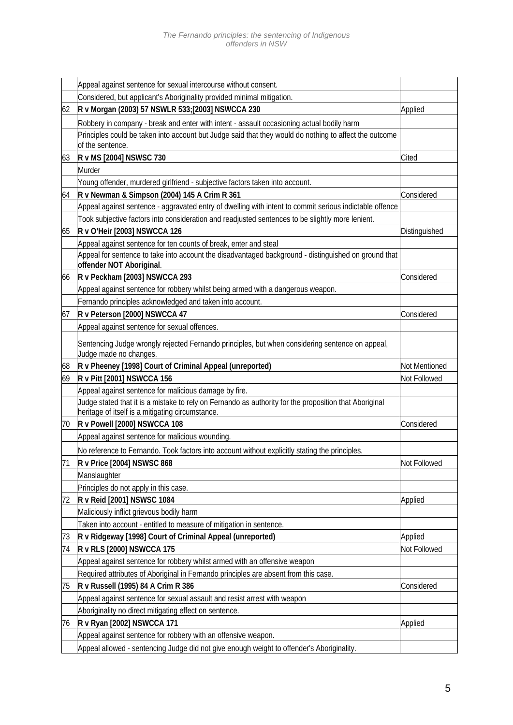|    | Appeal against sentence for sexual intercourse without consent.                                                                                            |               |
|----|------------------------------------------------------------------------------------------------------------------------------------------------------------|---------------|
|    | Considered, but applicant's Aboriginality provided minimal mitigation.                                                                                     |               |
| 62 | R v Morgan (2003) 57 NSWLR 533; [2003] NSWCCA 230                                                                                                          | Applied       |
|    | Robbery in company - break and enter with intent - assault occasioning actual bodily harm                                                                  |               |
|    | Principles could be taken into account but Judge said that they would do nothing to affect the outcome<br>of the sentence.                                 |               |
| 63 | R v MS [2004] NSWSC 730                                                                                                                                    | Cited         |
|    | Murder                                                                                                                                                     |               |
|    | Young offender, murdered girlfriend - subjective factors taken into account.                                                                               |               |
| 64 | R v Newman & Simpson (2004) 145 A Crim R 361                                                                                                               | Considered    |
|    | Appeal against sentence - aggravated entry of dwelling with intent to commit serious indictable offence                                                    |               |
|    | Took subjective factors into consideration and readjusted sentences to be slightly more lenient.                                                           |               |
| 65 | R v O'Heir [2003] NSWCCA 126                                                                                                                               | Distinguished |
|    | Appeal against sentence for ten counts of break, enter and steal                                                                                           |               |
|    | Appeal for sentence to take into account the disadvantaged background - distinguished on ground that<br>offender NOT Aboriginal.                           |               |
| 66 | R v Peckham [2003] NSWCCA 293                                                                                                                              | Considered    |
|    | Appeal against sentence for robbery whilst being armed with a dangerous weapon.                                                                            |               |
|    | Fernando principles acknowledged and taken into account.                                                                                                   |               |
| 67 | R v Peterson [2000] NSWCCA 47                                                                                                                              | Considered    |
|    | Appeal against sentence for sexual offences.                                                                                                               |               |
|    | Sentencing Judge wrongly rejected Fernando principles, but when considering sentence on appeal,<br>Judge made no changes.                                  |               |
| 68 | R v Pheeney [1998] Court of Criminal Appeal (unreported)                                                                                                   | Not Mentioned |
| 69 | R v Pitt [2001] NSWCCA 156                                                                                                                                 | Not Followed  |
|    | Appeal against sentence for malicious damage by fire.                                                                                                      |               |
|    | Judge stated that it is a mistake to rely on Fernando as authority for the proposition that Aboriginal<br>heritage of itself is a mitigating circumstance. |               |
| 70 | R v Powell [2000] NSWCCA 108                                                                                                                               | Considered    |
|    | Appeal against sentence for malicious wounding.                                                                                                            |               |
|    | No reference to Fernando. Took factors into account without explicitly stating the principles.                                                             |               |
|    | R v Price [2004] NSWSC 868                                                                                                                                 | Not Followed  |
|    | Manslaughter                                                                                                                                               |               |
|    | Principles do not apply in this case.                                                                                                                      |               |
| 72 | R v Reid [2001] NSWSC 1084                                                                                                                                 | Applied       |
|    | Maliciously inflict grievous bodily harm                                                                                                                   |               |
|    | Taken into account - entitled to measure of mitigation in sentence.                                                                                        |               |
| 73 | R v Ridgeway [1998] Court of Criminal Appeal (unreported)                                                                                                  | Applied       |
| 74 | R v RLS [2000] NSWCCA 175                                                                                                                                  | Not Followed  |
|    | Appeal against sentence for robbery whilst armed with an offensive weapon                                                                                  |               |
|    | Required attributes of Aboriginal in Fernando principles are absent from this case.                                                                        |               |
| 75 | R v Russell (1995) 84 A Crim R 386                                                                                                                         | Considered    |
|    | Appeal against sentence for sexual assault and resist arrest with weapon                                                                                   |               |
|    | Aboriginality no direct mitigating effect on sentence.                                                                                                     |               |
| 76 | R v Ryan [2002] NSWCCA 171                                                                                                                                 | Applied       |
|    | Appeal against sentence for robbery with an offensive weapon.                                                                                              |               |
|    | Appeal allowed - sentencing Judge did not give enough weight to offender's Aboriginality.                                                                  |               |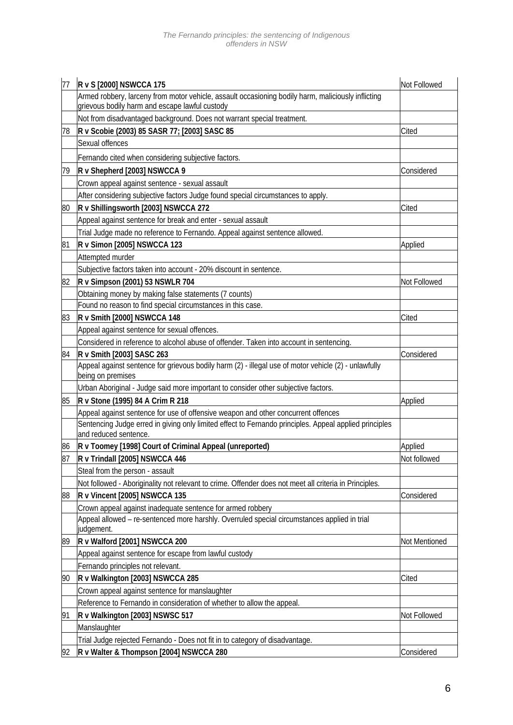| 77 | R v S [2000] NSWCCA 175                                                                                                                              | Not Followed  |
|----|------------------------------------------------------------------------------------------------------------------------------------------------------|---------------|
|    | Armed robbery, larceny from motor vehicle, assault occasioning bodily harm, maliciously inflicting<br>grievous bodily harm and escape lawful custody |               |
|    | Not from disadvantaged background. Does not warrant special treatment.                                                                               |               |
| 78 | R v Scobie (2003) 85 SASR 77; [2003] SASC 85                                                                                                         | Cited         |
|    | Sexual offences                                                                                                                                      |               |
|    | Fernando cited when considering subjective factors.                                                                                                  |               |
| 79 | R v Shepherd [2003] NSWCCA 9                                                                                                                         | Considered    |
|    | Crown appeal against sentence - sexual assault                                                                                                       |               |
|    | After considering subjective factors Judge found special circumstances to apply.                                                                     |               |
| 80 | R v Shillingsworth [2003] NSWCCA 272                                                                                                                 | Cited         |
|    | Appeal against sentence for break and enter - sexual assault                                                                                         |               |
|    | Trial Judge made no reference to Fernando. Appeal against sentence allowed.                                                                          |               |
| 81 | R v Simon [2005] NSWCCA 123                                                                                                                          | Applied       |
|    | Attempted murder                                                                                                                                     |               |
|    | Subjective factors taken into account - 20% discount in sentence.                                                                                    |               |
| 82 | R v Simpson (2001) 53 NSWLR 704                                                                                                                      | Not Followed  |
|    | Obtaining money by making false statements (7 counts)                                                                                                |               |
|    | Found no reason to find special circumstances in this case.                                                                                          |               |
| 83 | R v Smith [2000] NSWCCA 148                                                                                                                          | Cited         |
|    | Appeal against sentence for sexual offences.                                                                                                         |               |
|    | Considered in reference to alcohol abuse of offender. Taken into account in sentencing.                                                              |               |
| 84 | R v Smith [2003] SASC 263                                                                                                                            | Considered    |
|    | Appeal against sentence for grievous bodily harm (2) - illegal use of motor vehicle (2) - unlawfully<br>being on premises                            |               |
|    | Urban Aboriginal - Judge said more important to consider other subjective factors.                                                                   |               |
| 85 | R v Stone (1995) 84 A Crim R 218                                                                                                                     | Applied       |
|    | Appeal against sentence for use of offensive weapon and other concurrent offences                                                                    |               |
|    | Sentencing Judge erred in giving only limited effect to Fernando principles. Appeal applied principles<br>and reduced sentence.                      |               |
| 86 | R v Toomey [1998] Court of Criminal Appeal (unreported)                                                                                              | Applied       |
| 87 | R v Trindall [2005] NSWCCA 446                                                                                                                       | Not followed  |
|    | Steal from the person - assault                                                                                                                      |               |
|    | Not followed - Aboriginality not relevant to crime. Offender does not meet all criteria in Principles.                                               |               |
| 88 | R v Vincent [2005] NSWCCA 135                                                                                                                        | Considered    |
|    | Crown appeal against inadequate sentence for armed robbery                                                                                           |               |
|    | Appeal allowed - re-sentenced more harshly. Overruled special circumstances applied in trial<br>judgement.                                           |               |
| 89 | R v Walford [2001] NSWCCA 200                                                                                                                        | Not Mentioned |
|    | Appeal against sentence for escape from lawful custody                                                                                               |               |
|    | Fernando principles not relevant.                                                                                                                    |               |
| 90 | R v Walkington [2003] NSWCCA 285                                                                                                                     | Cited         |
|    | Crown appeal against sentence for manslaughter                                                                                                       |               |
|    | Reference to Fernando in consideration of whether to allow the appeal.                                                                               |               |
| 91 | R v Walkington [2003] NSWSC 517                                                                                                                      | Not Followed  |
|    | Manslaughter                                                                                                                                         |               |
|    | Trial Judge rejected Fernando - Does not fit in to category of disadvantage.                                                                         |               |
| 92 | R v Walter & Thompson [2004] NSWCCA 280                                                                                                              | Considered    |